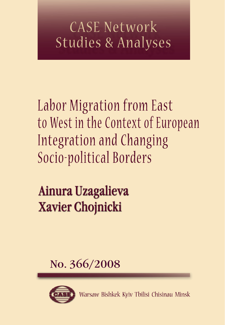# CASE Network **Studies & Analyses**

Labor Migration from East to West in the Context of European Integration and Changing Socio-political Borders

# Ainura Uzagalieva **Xavier Chojnicki**

# No. 366/2008



Warsaw Bishkek Kyiv Tbilisi Chisinau Minsk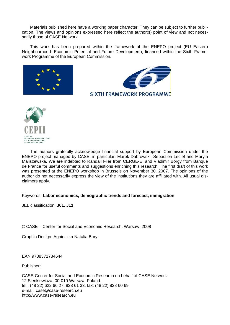Materials published here have a working paper character. They can be subject to further publication. The views and opinions expressed here reflect the author(s) point of view and not necessarily those of CASE Network.

This work has been prepared within the framework of the ENEPO project (EU Eastern Neighbourhood: Economic Potential and Future Development), financed within the Sixth Framework Programme of the European Commission.





The authors gratefully acknowledge financial support by European Commission under the ENEPO project managed by CASE, in particular, Marek Dabrowski, Sebastien Leclef and Maryla Maliszewska. We are indebted to Randall Filer from CERGE-EI and Vladimir Borgy from Banque de France for useful comments and suggestions enriching this research. The first draft of this work was presented at the ENEPO workshop in Brussels on November 30, 2007. The opinions of the author do not necessarily express the view of the institutions they are affiliated with. All usual disclaimers apply.

Keywords: **Labor economics, demographic trends and forecast, immigration**

JEL classification: **J01, J11**

© CASE – Center for Social and Economic Research, Warsaw, 2008

Graphic Design: Agnieszka Natalia Bury

EAN 9788371784644

Publisher:

CASE-Center for Social and Economic Research on behalf of CASE Network 12 Sienkiewicza, 00-010 Warsaw, Poland tel.: (48 22) 622 66 27, 828 61 33, fax: (48 22) 828 60 69 e-mail: case@case-research.eu http://www.case-research.eu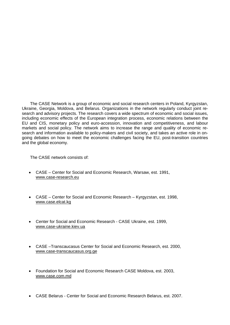The CASE Network is a group of economic and social research centers in Poland, Kyrgyzstan, Ukraine, Georgia, Moldova, and Belarus. Organizations in the network regularly conduct joint research and advisory projects. The research covers a wide spectrum of economic and social issues, including economic effects of the European integration process, economic relations between the EU and CIS, monetary policy and euro-accession, innovation and competitiveness, and labour markets and social policy. The network aims to increase the range and quality of economic research and information available to policy-makers and civil society, and takes an active role in ongoing debates on how to meet the economic challenges facing the EU, post-transition countries and the global economy.

The CASE network consists of:

- CASE Center for Social and Economic Research, Warsaw, est. 1991, www.case-research.eu
- CASE Center for Social and Economic Research Kyrgyzstan, est. 1998, www.case.elcat.kg
- Center for Social and Economic Research CASE Ukraine, est. 1999, www.case-ukraine.kiev.ua
- CASE –Transcaucasus Center for Social and Economic Research, est. 2000, www.case-transcaucasus.org.ge
- Foundation for Social and Economic Research CASE Moldova, est. 2003, www.case.com.md
- CASE Belarus Center for Social and Economic Research Belarus, est. 2007.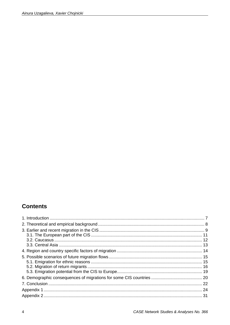# **Contents**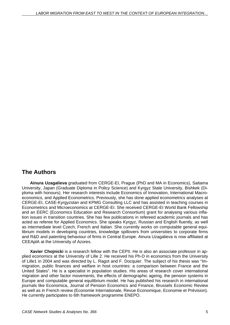## **The Authors**

**Ainura Uzagalieva** graduated from CERGE-EI, Prague (PhD and MA in Economics), Saitama University, Japan (Graduate Diploma in Policy Science) and Kyrgyz State University, Bishkek (Diploma with honours). Her research interests include Economics of Innovation, International Macroeconomics, and Applied Econometrics. Previously, she has done applied econometrics analyses at CERGE-EI, CASE-Kyrgyzstan and KPMG Consulting LLC and has assisted in teaching courses in Econometrics and Microeconomics at CERGE-EI. She received CERGE-EI World Bank Fellowship and an EERC (Economics Education and Research Consortium) grant for analysing various inflation issues in transition countries. She has few publications in refereed academic journals and has acted as referee for Applied Economics. She speaks Kyrgyz, Russian and English fluently, as well as intermediate level Czech, French and Italian. She currently works on computable general equilibrium models in developing countries, knowledge spillovers from universities to corporate firms and R&D and patenting behaviour of firms in Central Europe. Ainura Uzagalieva is now affiliated at CEEAplA at the University of Azores.

**Xavier Chojnicki** is a research fellow with the CEPII. He is also an associate professor in applied economics at the University of Lille 2. He received his Ph-D in economics from the University of Lille1 in 2004 and was directed by L. Ragot and F. Docquier. The subject of his thesis was "Immigration, public finances and welfare in host countries: a comparison between France and the United States". He is a specialist in population studies. His areas of research cover international migration and other factor movements, the effects of demographic ageing, the pension systems in Europe and computable general equilibrium model. He has published his research in international journals like Economica, Journal of Pension Economics and Finance, Brussels Economic Review as well as in French review (Economie Internationale, Revue Economique, Economie et Prévision). He currently participates to 6th framework programme ENEPO.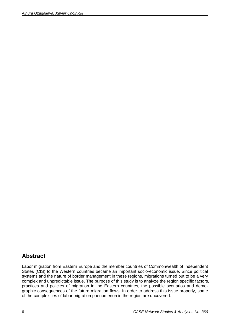## **Abstract**

Labor migration from Eastern Europe and the member countries of Commonwealth of Independent States (CIS) to the Western countries became an important socio-economic issue. Since political systems and the nature of border management in these regions, migrations turned out to be a very complex and unpredictable issue. The purpose of this study is to analyze the region specific factors, practices and policies of migration in the Eastern countries, the possible scenarios and demographic consequences of the future migration flows. In order to address this issue properly, some of the complexities of labor migration phenomenon in the region are uncovered.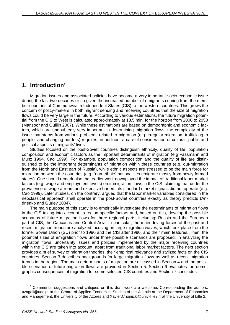## **1. Introduction**<sup>1</sup>

Migration issues and associated policies have become a very important socio-economic issue during the last two decades or so given the increased number of emigrants coming from the member countries of Commonwealth Independent States (CIS) to the western countries. This grows the concern of policy-makers in both migrant sending and receiving countries that the size of migration flows could be very large in the future. According to various estimations, the future migration potential from the CIS to West is calculated approximately at 13.5 mln. for the horizon from 2000 to 2050 (Mansoor and Quillin 2007). While these estimations are based on demographic and economic factors, which are undoubtedly very important in determining migration flows, the complexity of the issue that stems from various problems related to migration (e.g. irregular migration, trafficking in people, and changing borders) requires, in addition, a careful consideration of cultural, public and political aspects of migrants' lives.

Studies focused on the post-Soviet countries distinguish ethnicity, quality of life, population composition and economic factors as the important determinants of migration (e.g Fassmann and Munz 1994, Cao 1999). For example, population composition and the quality of life are distinguished to be the important determinants of migration within these countries (e.g. out-migration from the North and East part of Russia), while ethnic aspects are stressed to be the main force for migration between the countries (e.g. "non-ethnic" nationalities emigrate mostly from newly formed states). One should remark also that earlier work downplayed the impact of traditional labor market factors (e.g. wage and employment levels) on immigration flows in the CIS, claiming that under the prevalence of wage arrears and extensive barters, its standard market signals did not operate (e.g. Cao 1999). Later studies, on the contrary, argued that the labor market variables considered in the neoclassical approach shall operate in the post-Soviet countries exactly as theory predicts (Andrienko and Guriev 2004).

The main purpose of this study is to empirically investigate the determinants of migration flows in the CIS taking into account its region specific factors and, based on this, develop the possible scenarios of future migration flows for three regional parts, including: Russia and the European part of CIS, the Caucasus and Central Asia. In particular, the main driving forces of the past and recent migration trends are analyzed focusing on large migration waves, which took place from the former Soviet Union (SU) prior to 1990 and the CIS after 1990, and their main features. Then, the potential sizes of emigration flows under three possible scenarios are proposed. In analyzing the migration flows, uncertainty issues and policies implemented by the major receiving countries within the CIS are taken into account, apart from traditional labor market factors. The next section provides a brief survey of migration theories, their empirical relevance and stylized facts on the CIS countries. Section 3 describes backgrounds for large migration flows as well as recent migration trends in the region. The main determinants of migration are discussed in Section 4 and the possible scenarios of future migration flows are provided in Section 5. Section 6 evaluates the demographic consequences of migration for some selected CIS countries and Section 7 concludes.

<sup>1</sup> Comments, suggestions and critiques on this draft work are welcome. Corresponding the authors: uzagali@uac.pt at the Centre of Applied Economics Studies of the Atlantic at the Department of Economics and Management, the University of the Azores and Xavier.Chojnicki@univ-lille2.fr at the University of Lille 2.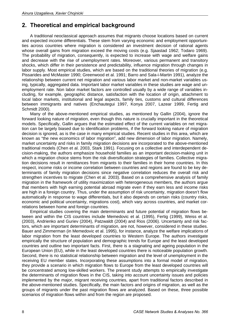## **2. Theoretical and empirical background**

A traditional neoclassical approach assumes that migrants choose locations based on current and expected income differentials. These stem from varying economic and employment opportunities across countries where migration is considered an investment decision of rational agents whose overall gains from migration exceed the moving costs (e.g. Sjaastad 1962; Todaro 1969). The probability of migration, consequently, is expected to increase with wage and welfare gains and decrease with the rise of unemployment rates. Moreover, various permanent and transitory shocks, which differ in their persistence and predictability, influence migration through changes in labor supply. Most empirical studies, which are based on the traditional theories of migration (e.g. Pissarides and McMaster 1990; Greenwood et al. 1991; Barro and Sala-i-Martin 1991), analyze the relationship between current net migration and various labor market and non-market variables using, typically, aggregated data. Important labor market variables in these studies are wage and unemployment rate. Non labor market factors are controlled usually by a wide range of variables including, for example, geographic distance, satisfaction with the location of origin, attachment to local labor markets, institutional and legal aspects, family ties, customs and cultural differences between immigrants and natives (Enchautegui 1997, Konya 2007, Lazear 1999, Fertig and Schmidt 2000).

Many of the above-mentioned empirical studies, as mentioned by Gallin (2004), ignore the forward looking nature of migration, even though this nature is crucially important in the theoretical models. Specifically, Gallin argues that the estimated effect of the current variables on net migration can be largely biased due to identification problems, if the forward looking nature of migration decision is ignored, as is the case in many empirical studies. Recent studies in this area, which are known as "the new economics of labor migration", add new dimension of labor migration. Namely, market uncertainty and risks in family migration decisions are incorporated to the above-mentioned traditional models (Chen et al. 2003, Stark 1991). Focusing on a collective and interdependent decision-making, the authors emphasize household families as an important decision-making unit in which a migration choice stems from the risk diversification strategies of families. Collective migration decisions result in remittances from migrants to their families in their home countries. In this respect, income risks or income correlation between countries and regions are found to be key determinants of family migration decisions since negative correlation reduces the overall risk and strengthen incentives to migrate (Chen et al. 2003). Based on a comprehensive analysis of family migration in the framework of utility maximization with heterogeneous members, the authors argue that members with high earning potential abroad migrate even if they earn less and income risks are high in a foreign country. Thus, under the assumption of risk uncertainty, migration doesn't flow automatically in response to wage differentials, but it also depends on certain risks (country risks, economic and political uncertainty, migrations cost), which vary across countries, and market correlations between home and foreign countries.

Empirical studies covering the main determinants and future potential of migration flows between and within the CIS countries include Memedovic et al. (1995), Fertig (1999), Weiss et al. (2003), Andrienko and Guriev (2004), Patzwaldt (2004) and Rios (2006). Uncertainty and risk factors, which are important determinants of migration, are not, however, considered in these studies. Bauer and Zimmerman (in Memedovic et al. 1995), for instance, analyze the welfare implications of labor migration from the least developed countries to Western Europe. The authors investigate empirically the structure of population and demographic trends for Europe and the least developed countries and outline two important facts. First, there is a stagnating and ageing population in the European Union (EU), while in the least developed countries there is noticeable population growth. Second, there is no statistical relationship between migration and the level of unemployment in the receiving EU member states. Incorporating these assumptions into a formal model of migration, they provide a scenario in which migration flows to Europe from the least developed countries will be concentrated among low-skilled workers. The present study attempts to empirically investigate the determinants of migration flows in the CIS, taking into account uncertainty issues and policies implemented by the major, migrant receiving countries, apart from traditional factors described in the above-mentioned studies. Specifically, the main factors and origins of migration, as well as the groups of migrants under the past migration flows are analyzed. Based on these, three possible scenarios of migration flows within and from the region are proposed.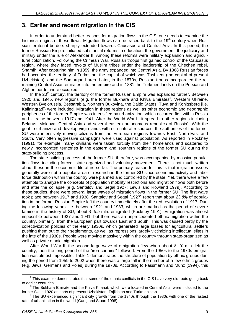## **3. Earlier and recent migration in the CIS**

In order to understand better reasons for migration flows in the CIS, one needs to examine the historical origins of these flows. Migration flows can be traced back to the 19<sup>th</sup> century when Russian territorial borders sharply extended towards Caucasus and Central Asia. In this period, the former Russian Empire initiated substantial reforms in education, the government, the judiciary and military under the rule of Alexander II. Among these reforms were military expansion and agricultural colonization. Following the Crimean War, Russian troops first gained control of the Caucasus region, where they faced revolts of Muslim tribes under the leadership of the Chechen rebel, Shamil<sup>2</sup>. After capturing him in 1859, the army expanded into Central Asia. By 1868 Russian forces had occupied the territory of Turkestan, the capital of which was Tashkent (the capital of present Uzbekistan), and the Samarqand area. Later, in the 1870s, Russian troops incorporated the remaining Central Asian emirates into the empire and in 1881 the Turkmen lands on the Persian and Afghan border were occupied.

In the  $20<sup>th</sup>$  century, the territory of the former Russian Empire was expanded further. Between 1920 and 1945, new regions (e.g. the former Bukhara and Khiva Emirates<sup>3</sup>, Western Ukraine, Western Byelorussia, Bessarabia, Northern Bukovina, the Baltic States, Tuva and Konigsberg [i.e. Kaliningrad]) were included. Migration in these regions as well as other economic and geographic peripheries of the former Empire was intensified by urbanization, which occurred first within Russia and Ukraine between 1917 and 1941. After the World War II, it spread to other regions including Belarus, Moldova, Central Asia and several eastern autonomous republics of Russia<sup>4</sup>. With the goal to urbanize and develop virgin lands with rich natural resources, the authorities of the former SU were intensively moving citizens from the European regions towards East, North-East and South. Very often aggressive campaigns were used against population. As reported in Pockney (1991), for example, many civilians were taken forcibly from their homelands and scattered to newly incorporated territories in the eastern and southern regions of the former SU during the state-building process.

The state-building process of the former SU, therefore, was accompanied by massive population flows including forced, state-organized and voluntary movement. There is not much written about these in the economic literature so far. The primary reason for this is that migration issues generally were not a popular area of research in the former SU since economic activity and labor force distribution within the country were planned and controlled by the state. Yet, there were a few attempts to analyze the concepts of population mobility restrictions and migration flows both before and after the collapse (e.g. Santalov and Segal 1927; Lewis and Rowland 1979). According to these studies, there were several large waves of migration flows in the former SU. The first wave took place between 1917 and 1938. Santalov and Segal (1927) report that about *23.8%* of population in the former Russian Empire left the country immediately after the red revolution of 1917. During the following years, i.e. between 1921 and 1933, which are marked as the period of severe famine in the history of SU, about *4–5.5* mln. emigrated (Pockney 1991). Emigration was almost impossible between 1937 and 1941, but there was an unprecedented ethnic migration within the country, primarily, from the European part towards East and South. This was caused partly by the collectivization policies of the early 1930s, which generated large losses for agricultural settlers pushing them out of their settlements, as well as repressions largely victimizing intellectual elites in the late of the 1930s. People were moving massively within the country through state-organized as well as private ethnic migration.

After World War II, the second large wave of emigration flew when about *8–10* mln. left the country, then the long period of the "iron curtains" followed. From the 1950s to the 1970s emigration was almost impossible. Table 1 demonstrates the structure of population by ethnic groups during the period from 1959 to 2002 when there was a large fall in the number of a few ethnic groups (e.g. Jews, Germans and Poles) during the 1970s. According to Fassmann and Munz (1994), this

 $\overline{a}$  $2$  This example demonstrates that some of the ethnic conflicts in the CIS have very old roots going back to earlier centuries.

 $3$  The Bukhara Emirate and the Khiva Khanat, which were located in Central Asia, were included to the former SU in 1920 as parts of present Uzbekistan, Tajikistan and Turkmenistan. <sup>4</sup>

 $4$  The SU experienced significant city growth from the 1940s through the 1980s with one of the fastest rate of urbanization in the world (Gang and Stuart 1998).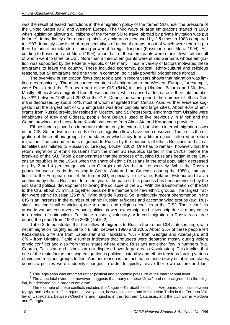was the result of eased restrictions in the emigration policy of the former SU under the pressure of the United States (US) and Western Europe. The third wave of large emigrations started in 1988 when legislation allowing all citizens of the former SU to travel abroad by private invitation was put in force<sup>5</sup>. Immediately after enacting this law, emigration increased by 2.5 times in 1988 compared to 1987. It mainly consisted of representatives of national groups, most of which were returning to their historical homelands or joining powerful foreign diaspora (Fassmann and Munz 1994). According to Fassmann and Munz (1994), about half of these emigrants were ethnic Jews, almost all of whom went to Israel or US<sup>6</sup>. More than a third of emigrants were ethnic Germans whose emigration was supported by the Federal Republic of Germany. Thus, a variety of factors motivated these emigrants to leave the country. These included economic, political, ethno-cultural and religious reasons, but all emigrants had one thing in common: politically powerful bridgeheads abroad.

The overview of emigration flows that took place in recent years shows that migration was limited geographically. The main source countries of emigration to the Western Europe, for example, were Russia and the European part of the CIS (*84%*) including Ukraine, Belarus and Moldova. Mostly, ethnic Jews emigrated from these countries, which caused a decrease in their total number by *76%* between 1989 and 2002 in the CIS. During the same period, the number of ethnic Germans decreased by about *50%*, most of whom emigrated from Central Asia. Further evidence suggests that the largest part of CIS emigrants was from capitals and large cities. About *40%* of emigrants from Russia previously resided in Moscow and St. Petersburg, emigrants from Ukraine were inhabitants of Kiev and Odessa, people from Belarus used to live previously in Minsk and the Gomel province, and those from Kazakhstan came from Alma-Ata and Karaganda province.

Ethnic factors played an important role not only in external, but also in internal migration flows in the CIS. So far, two main trends of such migration flows have been observed. The first is the migration of those ethnic groups to the states in which they form a titular nation, referred as return migration. The second trend is migration to Russia by the members of ethnic Russians and all nationalities assimilated to Russian culture (e.g. Locher 2002). One has to remark, however, that the return migration of ethnic Russians from the other SU republics started in the 1970s, before the break-up of the SU. Table 2 demonstrates that the process of ousting Russians began in the Caucasian republics in the 1960s when the share of ethnic Russians in the total population decreased e.g. by *2* and *4* percentage points in Georgia and Azerbaijan, respectively. While the Russian population was already decreasing in Central Asia and the Caucasus during the 1980s, immigration into the European part of the former SU, especially, to Ukraine, Belarus, Estonia and Latvia continued by ethnic Russians. In recent years, the pace of this process has been intensified by the social and political development following the collapse of the SU. With the transformation of the SU to the CIS, about *73* mln. altogether became the members of new ethnic groups. The largest fraction were ethnic Russian (*26* mln.) living outside Russia. So, a relatively recent phenomenon in the CIS is an increase in the number of ethnic Russian refugees and accompanying groups (e.g. Russian speaking small ethnicities) due to ethnic and religious conflicts in the  $CIS<sup>7</sup>$ . These conflicts arose in various controversies over political power, ownership, and citizenship due in many cases to a revival of nationalism. For these reasons, voluntary or forced migration to Russia was large during the period from 1992 to 2005 (Table 2).

Table 3 demonstrates that the inflow of migrants to Russia from other CIS states is large, with net immigration roughly equal to *4.8* mln. between 1990 and 2005. About *35%* of these people left Kazakhstan, *24%* are from Uzbekistan and Tajikistan, *16%* – from Georgia and Azerbaijan, and *8%* – from Ukraine. Table 4 further indicates that refugees were departing mostly during violent ethnic conflicts and also from those states where ethnic Russians are either few in numbers (e.g. Georgia, Tajikistan and Uzbekistan) or dispersed over large areas (Kazakhstan). This implies that one of the main factors pushing emigration is political instability and ethnic tensions forcing various ethnic and religious groups to flee. Another reason is the fact that in these newly established states, domestic policies were suddenly changed in order to quickly revive their own culture and lan-

 $5$  This legislation was enforced under political and economic pressure at the international level.

 $6$  The anecdotal evidence, however, suggests that many of these "Jews" had no background in the religion, but declared so in order to emigrate.

 $\textsuperscript{7}$  The example of these conflicts includes the Nagorno-Karabakh conflict in Azerbajan, conflicts between Kyrgyz and Uzbeks in Osh region in Kyrgyzstan, between Uzbeks and Meskhetian Turks in the Fergana Valley of Uzbekistan, between Chechens and Ingushis in the Northern Caucasus, and the civil war in Moldova and Georgia.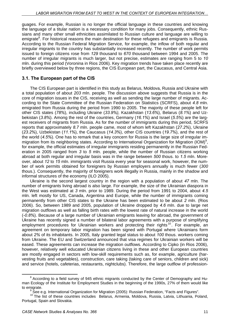guages. For example, Russian is no longer the official language in these countries and knowing the language of a titular nation is a necessary condition for many jobs. Consequently, ethnic Russians and many other small ethnicities assimilated to Russian culture and language are willing to emigrate<sup>8</sup>. For historical reasons the main destination for these refugees and emigrants is Russia. According to the Russian Federal Migration Service, for example, the inflow of both regular and irregular migrants to the country has substantially increased recently. The number of work permits issued to foreign citizens rose from *129* thousand to *670* thousand between 1994 and 2005. The number of irregular migrants is much larger, but not precise, estimates are ranging from 5 to *10* mln. during this period (Voronina in Rios 2006). Key migration trends have taken place recently are briefly overviewed below by three regions, the CIS European part, the Caucasus, and Central Asia.

## **3.1. The European part of the CIS**

The CIS European part is identified in this study as Belarus, Moldova, Russia and Ukraine with a total population of about *203* mln. people. The discussion above suggests that Russia is in the core of migration issues in the CIS, receiving as well as sending the large number of migrants. According to the State Committee of the Russian Federation on Statistics (SCRFS), about *4.8* mln. emigrated from Russia during the period from 1990 to 2005. The majority of these people left for other CIS states (*78%*), including Ukraine (*33.9%),* Kazakhstan (*13.6%*), Belarus (*8.1%*) and Uzbekistan (*3.8%*). Among the rest of the countries, Germany (*16.1%*) and Israel (*5.5%*) are the largest receivers of migrants from Russia. As for the number of immigrants during this period, SCRFS reports that approximately *8.7* mln. people came, most of whom left Kazakhstan (*27.2%*), Ukraine (*23.2%*), Uzbekistan (*11.1%*), the Caucasus (*14.3%*), other CIS countries (*19.7%*), and the rest of the world (*4.5%*). One has to remark that a key concern for Russia is the large size of irregular immigration from its neighboring states. According to International Organization for Migration (IOM)<sup>9</sup>, for example, the official estimates of irregular immigrants residing permanently in the Russian Federation in 2005 ranged from *3* to *5* mln. people, while the number of Russian citizens working abroad at both regular and irregular basis was in the range between *500* thous. to *1.5* mln. Moreover, about *12* to *15* mln. immigrants visit Russia every year for seasonal work, however, the number of work permits obtained for foreigners by Russian employers annually is much fewer (*300* thous.). Consequently, the majority of foreigners work illegally in Russia, mainly in the shadow and informal structures of the economy (ILO 2005).

Ukraine is the second largest country in the region with a population of about *47* mln. The number of emigrants living abroad is also large. For example, the size of the Ukrainian diaspora in the West was estimated at *3* mln. prior to 1989. During the period from 1991 to 2004, about *4.5* mln. left mostly for US, Canada, Argentina and Europe, while the number of immigrants coming permanently from other CIS states to the Ukraine has been estimated to be about *2* mln. (Rios 2006). So, between 1989 and 2005, population of Ukraine dropped by *4.6* mln. due to large net migration outflows as well as falling birth rates with the lowest rate of natural increase in the world (*-0.8%*). Because of a large number of Ukrainian emigrants leaving for abroad, the government of Ukraine has recently signed a number of bilateral labor agreements with a purpose of simplifying employment procedures for Ukrainian workers and protecting their rights<sup>10</sup>. For example, an agreement on temporary labor migration has been signed with Portugal where Ukrainians form about *2%* of its inhabitants. In 2005, Italy granted legal status to about *100* thous. workers coming from Ukraine. The EU and Switzerland announced that visa regimes for Ukrainian workers will be eased. These agreements can increase the migration outflows. According to Cipko (in Rios 2006), however, relatively well educated Ukrainian citizens living in these and other European countries are mostly engaged in sectors with low-skill requirements such as, for example, agriculture (harvesting fruits and vegetables), construction, care taking (taking care of seniors, children and sick) and service (hotels, cafeterias, restaurants, nightclubs). Therefore, the large outflow of profession-

 $\overline{8}$ <sup>8</sup> According to a field survey of 945 ethnic migrants conducted by the Center of Demography and Human Ecology of the Institute for Employment Studies in the beginning of the 1990s, 27% of them would like to emigrate.<br><sup>9</sup> See e.g. International Organization for Migration (2005): Russian Federation, "Facts and Figures".

See e.g. International Organization for Migration (2005). Russian Federation for The list of these countries includes Belarus, Armenia, Moldova, Russia, Latvia, Lithuania, Poland, Portugal, Spain and Slovakia.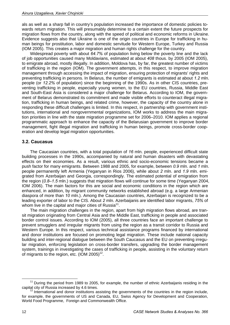als as well as a sharp fall in country's population increased the importance of domestic policies towards return migration. This will presumably determine to a certain extent the future prospects for migration flows from the country, along with the speed of political and economic reforms in Ukraine. Evidence suggests also that Ukraine is one of the origin countries in Europe for trafficking in human beings for prostitution, labor and domestic servitude for Western Europe, Turkey and Russia (IOM 2005). This creates a major migration and human rights challenge for the country.

Widespread poverty with about *64.7%* of population living below the poverty line and the lack of job opportunities caused many Moldavians, estimated at about *408* thous. by 2005 (IOM 2005), to emigrate abroad, mostly illegally. In addition, Moldova has, by far, the greatest number of victims of trafficking in the region (IOM). The government attempts, in this respect, to improve migration management through accessing the impact of migration, ensuring protection of migrants' rights and preventing trafficking in persons. In Belarus, the number of emigrants is estimated at about *1.2* mln. people (or *12.2%* of population) since the beginning of the 1990s. As in other CIS countries, preventing trafficking in people, especially young women, to the EU countries, Russia, Middle East and South-East Asia is considered a major challenge for Belarus. According to IOM, the government of Belarus demonstrated its commitment and made visible efforts to counteract illegal migration, trafficking in human beings, and related crime, however, the capacity of the country alone in responding these difficult challenges is limited. In this respect, in partnership with government institutions, international and nongovernmental organizations, IOM works to address the main migration priorities in line with the state migration programme set for 2006–2010. IOM applies a regional programmatic approach to enhance the capacity of the Belarusian government to improve border management, fight illegal migration and trafficking in human beings, promote cross-border cooperation and develop legal migration opportunities.

## **3.2. Caucasus**

The Caucasian countries, with a total population of *16* mln. people, experienced difficult state building processes in the 1990s, accompanied by natural and human disasters with devastating effects on their economies. As a result, various ethnic and socio-economic tensions became a push factor for many emigrants. Between 1988 and 2005, for example, between *0.9* mln. and *1* mln. people permanently left Armenia (Yeganyan in Rios 2006), while about *2* mln. and *1.9* mln. emigrated from Azerbaijan and Georgia, correspondingly. The estimated potential of emigration from the region (0.8–1.5 mln.) suggests that migration flows will continue for some time (Yeganyan 2004, IOM 2006). The main factors for this are social and economic conditions in the region which are enhanced, in addition, by migrant community networks established abroad (e.g. a large Armenian diaspora of more than *10* mln.). Among the Caucasian countries, Azerbaijan is recognized to be a leading exporter of labor to the CIS. About *2* mln. Azerbaijanis are identified labor migrants, *75%* of whom live in the capital and major cities of Russia<sup>11</sup>.

The main migration challenges in the region, apart from high migration flows abroad, are transit migration originating from Central Asia and the Middle East, trafficking in people and associated border control issues. According to IOM (2005), all three countries face an important challenge to prevent smugglers and irregular migrants from using the region as a transit corridor to Russia and Western Europe. In this respect, various technical assistance programs financed by international and donor institutions are focused on promoting legal migration. These include national capacity building and inter-regional dialogue between the South Caucasus and the EU on preventing irregular migration, enforcing legislation on cross-border transfers, upgrading the border management system, trainings in investigating the cases of trafficking in people, assisting in the voluntary return of migrants to the region, etc.  $(10M 2005)^{12}$ .

<sup>&</sup>lt;sup>11</sup> During the period from 1989 to 2005, for example, the number of ethnic Azerbaijanis residing in the capital city of Russia increased by 4.6 times.

 $12$  International and donor institutions assisting the governments of the countries in the region include, for example, the governments of US and Canada, EU, Swiss Agency for Development and Cooperation, World Food Programme, Foreign and Commonwealth Office.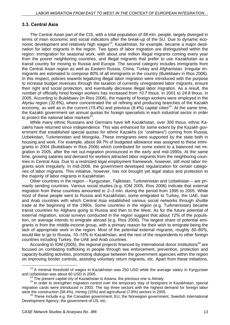## **3.3. Central Asia**

The Central Asian part of the CIS, with a total population of *58* mln. people, largely diverged in terms of main economic and social indicators after the break-up of the SU. Due to dynamic economic development and relatively high wages<sup>13</sup>, Kazakhstan, for example, became a major destination for labor migrants in the region. Two types of labor migration are distinguished within the region: immigration for seasonal work, with about one million illegal migrants coming every year from the poorer neighboring countries, and illegal migrants that prefer to use Kazakhstan as a transit country for moving to Russia and Europe. The second category includes immigrants from the Central Asian region as well as Eastern Russia, China, Turkey and Afghanistan. Irregular immigrants are estimated to compose *80%* of all immigrants in the country (Bulekbaev in Rios 2006). In this respect, policies towards legalizing illegal labor migration were introduced with the purpose to increase budget revenues through the taxation of currently unregistered labor migrants, ensure their right and social protection, and eventually decrease illegal labor migration. As a result, the number of officially hired foreign workers has increased from *10.7* thous. in 2001 to *24.8* thous. in 2005. According to Bulekbaev (in Rios 2006), the majority of foreign workers were employed in the *Atyrau* region (*32.6%*), where concentrated the oil refining and producing branches of the Kazakh economy, as well as in the current (15.4%) and previous (8.4%) capital cities<sup>14</sup>. At the same time, the Kazakh government set annual quotas for foreign specialists in each industrial sector in order to protect the national labor markets $^{15}$ .

While many ethnic Russians and Germans have left Kazakhstan, over *300* thous. ethnic Kazakhs have returned since independence. This was enhanced for some extent by the Kazakh government that established special quotas for ethnic Kazakhs (or "*oralmans*") coming from Russia, Uzbekistan, Turkmenistan and Mongolia. These immigrants were supported by the state both in housing and work. For example, about *99.7*% of budgeted allowance was assigned to these immigrants in 2004 (Bulekbaev in Rios 2006) which contributed for some extent to a balanced net migration in 2005, after the net out-migration pronounced in the early and mid-1990s. At the same time, growing salaries and demand for workers attracted labor migrants from the neighboring countries in Central Asia. Due to a restricted legal employment framework, however, still most labor migrants work irregularly. In mid-2006, the government developed regularization for certain categories of labor migrants. This initiative, however, has not brought yet legal status and protection to the majority of labor migrants in Kazakhstan.

Other countries in the region – Kyrgyzstan, Tajikistan, Turkmenistan and Uzbekistan – are primarily sending countries. Various social studies (e.g. IOM 2005, Rios 2006) indicate that external migration from these countries amounted to *2–3* mln. during the period from 1995 to 2005. While most of these people went to Russia and Kazakhstan, some emigrated to Turkey, the UAE, Iran and Arab countries with which Central Asia established various social networks through shuttle trade at the beginning of the 1990s. Some countries in the region (e.g. Turkmenistan) became transit countries for Afghans going to Russia and then to the West. As for the future potential of external migration, social surveys conducted in the region suggest that about *12%* of the population, on average intends to emigrate abroad (e.g. Rios 2006). The largest share of potential emigrants is from the middle-income group, with a primary reason for their wish to emigrate being the lack of appropriate work in the region. Most of the potential external migrants, roughly *50–60%*, would like to go to Russia, *10–15%* to Kazakhstan, and the rest of the respondents to other foreign countries including Turkey, the UAE and Arab countries.

According to IOM (2005), the regional projects financed by international donor institutions<sup>16</sup> are focused on combating trafficking in people through law enforcement, prevention, protection and capacity-building activities, promoting dialogue between the government agencies within the region on improving border controls, assisting voluntary return migrants, etc. Apart from these initiations,

<sup>&</sup>lt;sup>13</sup> A minimal threshold of wages in Kazakhstan was 250 USD while the average salary in Kyrgyzstan

and Uzbekistan was about 60 USD in 2005.<br><sup>14</sup> The present capital city of Kazakhstan is Astana, the previous one is Almaty.<br><sup>15</sup> In order to strengthen migration control over the temporary stay of foreigners in Kazakhstan, migration cards were introduced in 2003. The top three sectors with the highest demand for foreign labor

were the construction (58.4%), mining (15%) and agricultural (7.8%) sectors in 2005.<br><sup>16</sup> These include e.g. the Canadian government, EU, the Norwegian government, Swedish International Development Agency, the government of US, etc.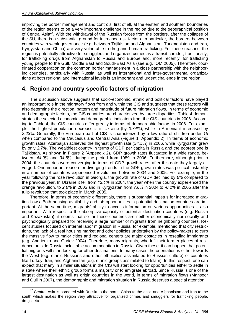improving the border management and controls, first of all, at the eastern and southern boundaries of the region seems to be a very important challenge in the region due to the geographical position of Central Asia<sup>17</sup>. With the withdrawal of the Russian forces from the borders, after the collapse of the SU, there is a substantial ground for increased risk factors. In particular, the borders between countries with weak governance (e.g. between Tajikistan and Afghanistan, Turkmenistan and Iran, Kyrgyzstan and China) are very vulnerable to drug and human trafficking. For these reasons, the region is potentially attractive for smugglers and organized crimes as a transit corridor, traditionally, for trafficking drugs from Afghanistan to Russia and Europe and, more recently, for trafficking young people to the Gulf, Middle East and South-East Asia (see e.g. IOM 2005). Therefore, coordinated cooperation on the common border management in a close partnership with the neighboring countries, particularly with Russia, as well as international and inter-governmental organizations at both regional and international levels is an important and urgent challenge in the region.

## **4. Region and country specific factors of migration**

The discussion above suggests that socio-economic, ethnic and political factors have played an important role in the migratory flows from and within the CIS and suggests that these factors will also determine the direction, pattern and magnitude of future migration flows. In terms of economic and demographic factors, the CIS countries are characterized by large disparities. Table 4 demonstrates the selected economic and demographic indicators from the CIS countries in 2006. According to Table 4, the CIS countries differ greatly in terms of demographic factors in 2006. For example, the highest population decrease is in Ukraine (by *0.74%*), while in Armenia it increased by *2.23%*. Generally, the European part of CIS is characterized by a low ratio of children under *15* when compared to the Caucasus and Central Asia (Figure 1, Appendix 2). In terms of economic growth rates, Azerbaijan achieved the highest growth rate (*34.5%*) in 2006, while Kyrgyzstan grew by only *2.7%*. The wealthiest country in terms of GDP per capita is Russia and the poorest one is Tajikistan. As shown in Figure 2 (Appendix 2), GDP growth rates fluctuated in a wide range, between *-44.9%* and *34.5%*, during the period from 1989 to 2006. Furthermore, although prior to 2004, the countries were converging in terms of GDP growth rates, after this date they largely diverged. One important reason for diverging trends in the GDP growth rates was political instability in a number of countries experienced revolutions between 2004 and 2005. For example, in the year following the rose revolution in Georgia, the growth rate of GDP declined by *6%* compared to the previous year. In Ukraine it fell from *12.1%* in 2004, the year when the country experienced the orange revolution, to *2.6%* in 2005 and in Kyrgyzstan from *7.0%* in 2004 to *-0.2%* in 2005 after the tulip revolution that took place in March 2005.

Therefore, in terms of economic differentials, there is substantial impetus for increased migration flows. Both housing availability and job opportunities in potential destination countries are important. At the same time, migrants' ability to access information on various opportunities is also important. With respect to the absorptive capacity of potential destination countries (e.g. Russia and Kazakhstan), it seems that so far these countries are neither economically nor socially and psychologically prepared for receiving a large number of migrants from neighboring countries. Recent studies focused on internal labor migration in Russia, for example, mentioned that city restrictions, the lack of a real housing market and other policies undertaken by the policy-makers to curb the massive flow to major cities and regional centers are major obstacles in resettling immigrants (e.g. Andrienko and Guriev 2004). Therefore, many migrants, who left their former places of residence outside Russia lack stable accommodation in Russia. Given these, it can happen that potential migrants will start looking for other destinations. In many cases the orientation is either towards the West (e.g. ethnic Russians and other ethnicities assimilated to Russian culture) or countries like Turkey, Iran, and Afghanistan (e.g. ethnic groups assimilated to Islam). In this respect, one can expect that many in similar situations in the CIS will start looking for opportunities either to settle in a state where their ethnic group forms a majority or to emigrate abroad. Since Russia is one of the largest destination as well as origin countries in the world, in terms of migration flows (Mansoor and Quillin 2007), the demographic and migration situation in Russia deserves a special attention.

<sup>&</sup>lt;sup>17</sup> Central Asia is bordered with Russia to the north, China to the east, and Afghanistan and Iran to the south which makes the region very attractive for organized crimes and smugglers for trafficking people, drugs, etc.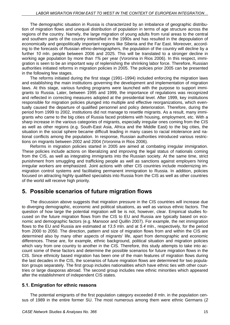The demographic situation in Russia is characterized by an imbalance of geographic distribution of migration flows and unequal distribution of population in terms of age structure across the regions of the country. Namely, the large migration of young adults from rural areas to the central and southern parts of the country intensified in the 1990s and has resulted in the depopulation of economically and geopolitically important regions like Siberia and the Far East. Moreover, according to the forecasts of Russian ethno-demographers, the population of the country will decline by a further *10* mln. people between 2006 and 2025. This will be translated to a stronger decline in working age population by more than *1%* per year (Voronina in Rios 2006). In this respect, immigration is seen to be an important way of replenishing the shrinking labor force. Therefore, Russian authorities initiated reforms in migration policies in 2005. The policies prior 2005 can be presented in the following few stages.

The reforms initiated during the first stage (1991–1994) included enforcing the migration laws and establishing the main institutions governing the development and implementation of migration laws. At this stage, various funding programs were launched with the purpose to support immigrants to Russia. Later, between 1995 and 1999, the importance of regulations was recognized and reflected in correcting measures adopted at the presidential level. After 1999, key institutions responsible for migration policies plunged into multiple and effective reorganizations, which eventually caused the departure of qualified personnel and policy deterioration. Therefore, during the period from 1999 to 2002, institutions did not manage to resettle migrants. As a result, many immigrants who came to the big cities of Russia faced problems with housing, employment, etc. With a sharp increase in the various categories of migrants, especially irregular ones coming from the CIS as well as other regions (e.g. South-East Asia, Africa and the Middle East) to the big cities, the situation in the social sphere became difficult leading in many cases to racial intolerance and national conflicts among the population. In response, Russian authorities introduced various restrictions on migrants between 2002 and 2004 (Voronina in Rios 2006).

Reforms in migration policies started in 2005 are aimed at combating irregular immigration. These policies include actions on liberalizing and improving the legal status of nationals coming from the CIS, as well as integrating immigrants into the Russian society. At the same time, strict punishment from smuggling and trafficking people as well as sanctions against employers hiring irregular workers are emphasized. Joint actions with other CIS countries include modernizing immigration control systems and facilitating permanent immigration to Russia. In addition, policies focused on attracting highly qualified specialists into Russia from the CIS as well as other countries of the world will receive high priority.

## **5. Possible scenarios of future migration flows**

The discussion above suggests that migration pressure in the CIS countries will increase due to diverging demographic, economic and political situations, as well as various ethnic factors. The question of how large the potential migration will be is not, however, clear. Empirical studies focused on the future migration flows from the CIS to EU and Russia are typically based on economic and demographic factors (e.g. Mansoor and Quillin 2007). For example, the net immigration flows to the EU and Russia are estimated at *13.5* mln. and at *5.4* mln., respectively, for the period from 2000 to 2050. The direction, pattern and size of migration flows from and within the CIS are determined also by many other aspects of migrants' life, apart from demographic and economic differences. These are, for example, ethnic background, political situation and migration policies which vary from one country to another in the CIS. Therefore, this study attempts to take into account some of these factors and determine the possible scenarios for future migration flows in the CIS. Since ethnicity based migration has been one of the main features of migration flows during the last decades in the CIS, the scenarios of future migration flows are determined for two population groups separately. The first group includes nationalities which have ethnic ties with other countries or large diasporas abroad. The second group includes new ethnic minorities which appeared after the establishment of independent CIS states.

## **5.1. Emigration for ethnic reasons**

The potential emigrants of the first population category exceeded *8* mln. in the population census of 1989 in the entire former SU. The most numerous among them were ethnic Germans (*2*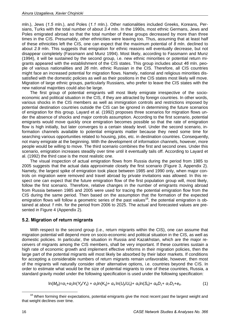mln.), Jews (*1.5* mln*.*), and Poles (*1.1* mln.). Other nationalities included Greeks, Koreans, Persians, Turks with the total number of about *3.4* mln. In the 1990s, most ethnic Germans, Jews and Poles emigrated abroad so that the total number of these groups decreased by more than three times in the CIS. Presumably, other ethnicities were leaving too. Thus, assuming that at least half of these ethnicities left the CIS, one can expect that the maximum potential of *8* mln. declined to about *2.9* mln. This suggests that emigration for ethnic reasons will eventually decrease, but not disappear completely (Fassmann and Munz 1994). Most likely, according to Fassmann and Munz (1994), it will be sustained by the second group, i.e. new ethnic minorities or potential return migrants appeared with the establishment of the CIS states. This group includes about *46* mln. people of various nationalities and *26* mln. ethnic Russian in the CIS. Therefore, all CIS countries might face an increased potential for migration flows. Namely, national and religious minorities dissatisfied with the domestic policies as well as their positions in the CIS states most likely will move. Migration of large ethnic groups, particularly Russians, who prefer to leave the CIS states with the new national majorities could also be large.

The first group of potential emigrants will most likely emigrate irrespective of the socioeconomic and political situation in the CIS, if they are attracted by foreign countries. In other words, various shocks in the CIS members as well as immigration controls and restrictions imposed by potential destination countries outside the CIS can be ignored in determining the future scenarios of emigration for this group. Layard et al. (1992) proposes three scenarios for migration flows under the absence of shocks and major controls assumption. According to the first scenario, potential emigrants would move quickly once emigration becomes possible so that the rate of emigration flow is high initially, but later converges to a certain steady level. Under the second scenario, information channels available to potential emigrants matter because they need some time for searching various opportunities related to housing, jobs, etc. in destination countries. Consequently, not many emigrate at the beginning. With the development of information channels, however, more people would be willing to move. The third scenario combines the first and second ones. Under this scenario, emigration increases steadily over time until it eventually tails off. According to Layard et al. (1992) the third case is the most realistic one.

The visual inspection of actual emigration flows from Russia during the period from 1985 to 2005 suggests that the actual data approximate closely the first scenario (Figure 3, Appendix 2). Namely, the largest spike of emigration took place between 1985 and 1990 only, when major controls on migration were removed and travel abroad by private invitations was allowed. In this respect one can expect that the future emigration flow of the first population group will, most likely, follow the first scenario. Therefore, relative changes in the number of emigrants moving abroad from Russia between 1985 and 2005 were used for tracing the potential emigration flow from the CIS during the same period. Then based on the assumption that the formation of the expected emigration flows will follow a geometric series of the past values<sup>18</sup>, the potential emigration is obtained at about *1* mln. for the period from 2006 to 2025. The actual and forecasted values are presented in Figure 4 (Appendix 2).

#### **5.2. Migration of return migrants**

With respect to the second group (i.e., return migrants within the CIS), one can assume that migration potential will depend more on socio-economic and political situation in the CIS, as well as domestic policies. In particular, the situation in Russia and Kazakhstan, which are the major receivers of migrants among the CIS members, shall be very important. If these countries sustain a high rate of economic growth and implement effective reforms in their migration policies, then the large part of the potential migrants will most likely be absorbed by their labor markets. If conditions for accepting a considerable numbers of return migrants remain unfavorable, however, then most of the migrants will naturally consider other alternative options, i.e. countries beyond the CIS. In order to estimate what would be the size of potential migrants to one of these countries, Russia, a standard gravity model under the following specification is used under the following specification:

$$
\ln(M_{ijt}) = \alpha_1 + \alpha_2 \ln(Y_{ji}/Y_{it}) + \alpha_3 \ln(K_{ij}) + \alpha_4 \ln(U_{ji}/U_{it}) + \alpha_5 \ln(S_{it}) + \alpha_6 D_1 + \alpha_7 D_2 + e_{it}.
$$
 (1)

<sup>&</sup>lt;sup>18</sup> When forming their expectations, potential emigrants give the most recent past the largest weight and that weight declines over time.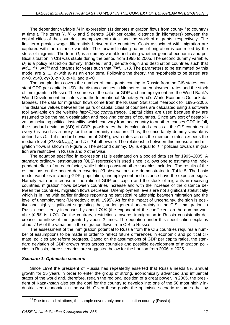The dependent variable *M* in expression (1) denotes migration flows from county *i* to country *j* at time *t.* The terms *Y*, *K*, *U* and *S* denote GDP per capita, distance (in kilometers) between the capital cities of the countries, unemployment rates, and the stock of migrants, respectively. The first term proxies wage differentials between the countries. Costs associated with migration are captured with the distance variable. The forward looking nature of migration is controlled by the stock of migrants. The term  $D_1$  is a dummy variable indicating whether general economic and political situation in CIS was stable during the period from 1995 to 2005. The second dummy variable, *D2*, is a policy restriction dummy. Indexes *i* and *j* denote origin and destination countries such that *I=1,..,11*, *J=1<sup>19</sup>* and *t* stands for years such that *T=1,...,10*. The parameters to be estimated by this model are  $α_1$ ,...,  $α_7$  with  $e_{it}$  as an error term. Following the theory, the hypothesis to be tested are *α2*>0, *α3*<0, *α4*>0, *α5*>0, *α6*>0, and *α7*<0.

The sample data covers the number of immigrants coming to Russia from the CIS states, constant GDP per capita in USD, the distance values in kilometers, unemployment rates and the stock of immigrants in Russia. The sources of the data for GDP and unemployment are the World Bank's World Development Indicators and the International Monetary Fund's World Economic Outlook databases. The data for migration flows come from the Russian Statistical Yearbook for 1995–2006. The distance values between the pairs of capital cities of countries are calculated using a software tool available on the website *http://.indo.com/distance*. Capital cities are used because they are assumed to be the main destination and receiving centers of countries. Since any sort of destabilization including political instability, which can vary from one country to another, causes GDP to fall, the standard deviation (SD) of GDP growth rates that is calculated across all the CIS countries at every *t* is used as a proxy for the uncertainty measure. Thus, the uncertainty dummy variable is defined as *D1=1* if standard deviation of GDP growth rates across the member states exceeds the median level (*SD>SDmedian*) and *D1=0* if otherwise. The relationship between this measure and migration flows is shown in Figure 5. The second dummy,  $D_2$ , is equal to 1 if policies towards migration are restrictive in Russia and *0* otherwise.

The equation specified in expression (1) is estimated on a pooled data set for 1995–2005. A standard ordinary least-squares (OLS) regression is used since it allows one to estimate the independent effect of an each factor, while holding constant other variables included. The results of the estimations on the pooled data covering *99* observations are demonstrated in Table 5. The basic model variables including GDP, population, unemployment and distance have the expected signs. Namely, with an increase in the ratio of GDP per capita and the stock of migrants in receiving countries, migration flows between countries increase and with the increase of the distance between the countries, migration flows decrease. Unemployment levels are not significant statistically which is in line with earlier findings reporting no statistical relationship between migration and the level of unemployment (Memedovic et al. 1995). As for the impact of uncertainty, the sign is positive and highly significant suggesting that, under general uncertainty in the CIS, immigration to Russia consistently increases by about *79%* (the exponent of the coefficient on the dummy variable [*0.58*] is *1.79*). On the contrary, restrictions towards immigration in Russia consistently decrease the inflow of immigrants by about *2* times. The equation under this specification explains about *71%* of the variation in the migration flows from CIS to Russia.

The assessment of the immigration potential to Russia from the CIS countries requires a number of assumptions to be made in order to reflect future differences in economic and political climate, policies and reform progress. Based on the assumptions of GDP per capita ratios, the standard deviation of GDP growth rates across countries and possible development of migration policies in Russia, three scenarios are suggested below for the horizon from 2006 to 2025.

#### *Scenario 1: Optimistic scenario*

Since 1999 the president of Russia has repeatedly asserted that Russia needs 8% annual growth for 15 years in order to enter the group of strong, economically advanced and influential states of the world and, therefore, regain the regional position of a great power. In 2005, the president of Kazakhstan also set the goal for the country to develop into one of the 50 most highly industrialized economies in the world. Given these goals, the optimistic scenario assumes that by

 $19$  Due to data limitations, the sample covers only one destination country (Russia).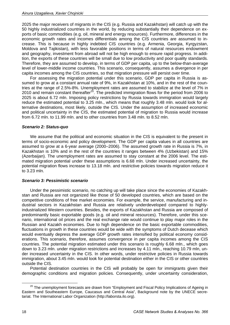2025 the major receivers of migrants in the CIS (e.g. Russia and Kazakhstan) will catch up with the 50 highly industrialized countries in the world, by reducing substantially their dependence on exports of basic commodities (e.g. oil, mineral and energy resources). Furthermore, differences in the economic growth rates and incomes differentials among the CIS countries are assumed to increase. This is because in highly indebted CIS countries (e.g. Armenia, Georgia, Kyrgyzstan, Moldova and Tajikistan), with less favorable positions in terms of natural resources endowment and geography, investment from abroad will not be high enough to ensure rapid progress. In addition, the exports of these countries will be small due to low productivity and poor quality standards. Therefore, they are assumed to develop, in terms of GDP per capita, up to the below-than-average level of lower-middle income countries. This scenario, consequently, assumes a divergence in per capita incomes among the CIS countries, so that migration pressure will persist over time.

For assessing the migration potential under this scenario, GDP per capita in Russia is assumed to grow at a constant annual rate of 9%, in Kazakhstan at 10%, and in the rest of the countries at the range of 2.5%-8%. Unemployment rates are assumed to stabilize at the level of 7% in 2010 and remain constant thereafter<sup>20</sup>. The predicted immigration flows for the period from 2006 to 2025 is about 6.72 mln. Imposing policy restrictions by Russia towards immigration would largely reduce the estimated potential to 3.25 mln., which means that roughly 3.48 mln. would look for alternative destinations, most likely, outside the CIS. Under the assumption of increased economic and political uncertainty in the CIS, the estimated potential of migration to Russia would increase from 6.72 mln. to 11.99 mln. and to other countries from 3.48 mln. to 8.52 mln.

#### *Scenario 2: Status-quo*

We assume that the political and economic situation in the CIS is equivalent to the present in terms of socio-economic and policy development. The GDP per capita values in all countries are assumed to grow at a 6-year average (2000–2006). The assumed growth rate in Russia is 7%, in Kazakhstan is 10% and in the rest of the countries it ranges between 4% (Uzbekistan) and 15% (Azerbaijan). The unemployment rates are assumed to stay constant at the 2006 level. The estimated migration potential under these assumptions is 6.68 mln. Under increased uncertainty, the potential migration flows increase to 13.18 mln. and restrictive policies towards migration reduce it to 3.23 mln.

#### *Scenario 3: Pessimistic scenario*

Under the pessimistic scenario, no catching up will take place since the economies of Kazakhstan and Russia are not organized like those of 50 developed countries, which are based on the competitive conditions of free market economies. For example, the service, manufacturing and industrial sectors in Kazakhstan and Russia are relatively underdeveloped compared to highlyindustrialized Western countries. Besides, the exports of Kazakhstan and Russia are composed of predominantly basic exportable goods (e.g. oil and mineral resources). Therefore, under this scenario, international oil prices and the real exchange rate would continue to play major roles in the Russian and Kazakh economies. Due to high dependence on the basic exportable commodities, fluctuations in growth in these countries would be wide with the symptoms of Dutch decease which would eventually depress the average GDP growth rates intensified by political economy considerations. This scenario, therefore, assumes convergence in per capita incomes among the CIS countries. The potential migration estimated under this scenario is roughly 6.68 mln., which goes down to 3.23 mln. under migration restrictions and increases by 4.11 mln., reaching 10.79 mln, under increased uncertainty in the CIS. In other words, under restrictive policies in Russia towards immigration, about 3.45 mln. would look for potential destination either in the CIS or other countries outside the CIS.

Potential destination countries in the CIS will probably be open for immigrants given their demographic conditions and migration policies. Consequently, under uncertainty consideration,

 $20$  The unemployment forecasts are drawn from "Employment and Fiscal Policy Implications of Ageing in Eastern and Southeastern Europe, Caucasus and Central Asia", Background note by the UNECE secretariat. The International Labor Organization (http://laborsta.ilo.org).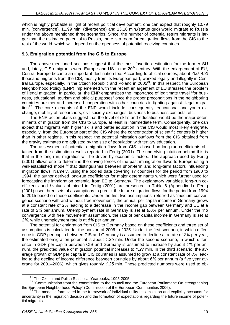which is highly probable in light of recent political development, one can expect that roughly 10.79 mln. (convergence), 11.99 mln. (divergence) and 13.18 mln.(status quo) would migrate to Russia under the above mentioned three scenarios. Since, the number of potential return migrants is larger than the estimated potential to Russia, there is a room for emigration flows from the CIS to the rest of the world, which will depend on the openness of potential receiving countries.

### **5.3. Emigration potential from the CIS to Europe**

The above-mentioned sections suggest that the most favorite destination for the former SU and, lately, CIS emigrants were Europe and US in the 20<sup>th</sup> century. With the enlargement of EU, Central Europe became an important destination too. According to official sources, about *400–450* thousand migrants from the CIS, mostly from its European part, worked legally and illegally in Central Europe, especially, in the Czech Republic and Poland in  $2005<sup>21</sup>$ . In this respect, the European Neighborhood Policy (ENP) implemented with the recent enlargement of EU stresses the problem of illegal migration. In particular, the ENP emphasizes the importance of legitimate travel "for business, educational, tourism and official purposes" once the proper preconditions in the neighboring countries are met and increased cooperation with other countries in fighting against illegal migra- $\frac{1}{2}$ . The core elements of the ENP would include, consequently, educational and youth exchange, mobility of researchers, civil society exchanges, business-to business contacts, etc.

The ENP action plans suggest that the level of skills and education would be the major determinants of migration from the CIS to Europe, at least in intermediate term. Consequently, one can expect that migrants with higher skills and better education in the CIS would most likely emigrate, especially, from the European part of the CIS where the concentration of scientific centers is higher than in other regions. In this respect, the potential migration outflows from the CIS obtained from the gravity estimates are adjusted by the size of population with tertiary education.

The assessment of potential emigration flows from CIS is based on long-run coefficients obtained from the estimation results reported in Fertig (2001). The underlying intuition behind this is that in the long-run, migration will be driven by economic factors. The approach used by Fertig (2001) allows one to determine the driving forces of the past immigration flows to Europe using a well-established model<sup>23</sup> that distinguishes between short-term and long-term factors influencing migration flows. Namely, using the pooled data covering *17* countries for the period from 1960 to 1994, the author derived long-run coefficients for major determinants which were further used for forecasting the immigration potential from EE to Germany. The explanatory variables, long-run coefficients and *t*-values obtained in Fertig (2001) are presented in Table 6 (Appendix 1). Fertig (2001) used three sets of assumptions to predict the future migration flows for the period from 1994 to 2015 based on these coefficients. Under the first two assumptions, referred as "medium convergence scenario with and without free movement", the annual per-capita income in Germany grows at a constant rate of *2%* leading to a decrease in the income gap between Germany and EE at a rate of *2%* per annum. Unemployment rate in Germany is set at *8.6%* per annum. Under the "no convergence with free movement" assumption, the rate of per capita income in Germany is set at *2%*, while unemployment rate is at *5%* per annum.

The potential for emigration from CIS to Germany based on these coefficients and three set of assumptions is calculated for the horizon of 2006 to 2025. Under the first scenario, in which difference in GDP per capita between CIS and Germany is assumed to decline at a rate of *2%* per year, the estimated emigration potential is about *1.25* mln. Under the second scenario, in which difference in GDP per capita between CIS and Germany is assumed to increase by about *1%* per annum, the predicted value of migration potential increases to *1.27* mln. In the third scenario, the average growth of GDP per capita in CIS countries is assumed to grow at a constant rate of *8%* leading to the decline of income difference between countries by about *6%* per annum (a five year average for 2001–2006), which gives roughly *1.25* mln. These predicted numbers were used to ob-

<sup>&</sup>lt;sup>21</sup> The Czech and Polish Statistical Yearbooks, 1995-2005.<br><sup>22</sup> "Communication from the commission to the council and the European Parliament: On strengthening the European Neighborhood Policy" (Commission of the European Communities 2006).<br><sup>23</sup> The model is formulated in the framework of individual utility maximization and explicitly accounts for

uncertainty in the migration decision and the formation of expectations regarding the future income of potential migrants.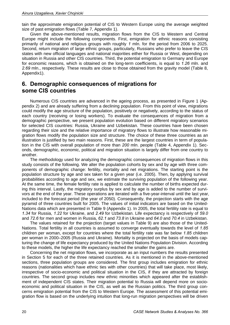tain the approximate emigration potential of CIS to Western Europe using the average weighted size of past emigration flows (Table 7, Appendix 1).

Given the above-mentioned results, migration flows from the CIS to Western and Central Europe might include the following components. First, emigration for ethnic reasons consisting primarily of national and religious groups with roughly *1* mln. for the period from 2006 to 2025. Second, return migration of large ethnic groups, particularly, Russians who prefer to leave the CIS states with new official languages and national majorities either for Russia or West, depending on situation in Russia and other CIS countries. Third, the potential emigration to Germany and Europe for economic reasons, which is obtained on the long-term coefficients, is equal to *1.26* mln. and *2.69* mln., respectively. These results are close to those obtained from the gravity model (Table 8, Appendix1).

## **6. Demographic consequences of migrations for some CIS countries**

Numerous CIS countries are advanced in the ageing process, as presented in Figure 1 (Appendix 2) and are already suffering from a declining population. From this point of view, migrations could modify the age structure of the population, positively or negatively, according to the status of each country (receiving or losing workers). To evaluate the consequences of migration from a demographic perspective, we present population evolution based on different migratory scenarios for selected CIS countries: Russia, Ukraine and Uzbekistan. These countries have been chosen regarding their size and the relative importance of migratory flows to illustrate how reasonable migration flows modify the population size and structure. The choice of these three countries as an illustration is justified by two main reasons. First, these are the largest countries in term of population in the CIS with overall population of more than *200* mln. people (Table 4, Appendix 1). Seconds, demographic, economic, political and migration situation is largely differ from one country to another.

The methodology used for analyzing the demographic consequences of migration flows in this study consists of the following. We alter the population cohorts by sex and by age with three components of demographic change: fertility, mortality and net migrations. The starting point is the population structure by age and sex taken for a given year (i.e. 2005). Then, by applying survival probabilities according to age and sex, we estimate the surviving population of the following year. At the same time, the female fertility rate is applied to calculate the number of births expected during this interval. Lastly, the migratory surplus by sex and by age is added to the number of survivors at the end of the year. These operations are iterated with a five-year-interval until the last year, included to the forecast period (the year of 2050). Consequently, the projection starts with the age pyramid of three countries built for 2005. The values of initial indicators are based on the United-Nations data which are presented in Table 9 (Appendix 1). In 2005, the total fertility rate is equal to *1.34* for Russia, *1.22* for Ukraine, and *2.49* for Uzbekistan. Life expectancy is respectively of *59.0* and *72.6* for men and women in Russia, *62.1* and *73.8* in Ukraine and *64.0* and *70.4* in Uzbekistan.

The values retained for the projection (target values in Table 9) are also those of the United-Nations. Total fertility in all countries is assumed to converge eventually towards the level of *1.85* children per woman, except for countries where the total fertility rate was far below *1.85* children per woman in 2000–2005 (Russia and Ukraine). Mortality is projected on the basis of models capturing the change of life expectancy produced by the United Nations Population Division. According to these models, the higher the life expectancy reached the smaller the gains are.

Concerning the net migration flows, we incorporate as an input numbers the results presented in Section 5 for each of the three retained countries. As it is mentioned in the above-mentioned sections, three population groups are considered. The first group includes emigration for ethnic reasons (nationalities which have ethnic ties with other countries) that will take place, most likely, irrespective of socio-economic and political situation in the CIS, if they are attracted by foreign countries. The second group includes new ethnic minorities which appeared after the establishment of independent CIS states. Their migration potential to Russia will depend more on socioeconomic and political situation in the CIS, as well as the Russian politics. The third group concerns emigration potential from the CIS to Western Europe. The assessment of this potential emigration flow is based on the underlying intuition that long-run migration perspectives will be driven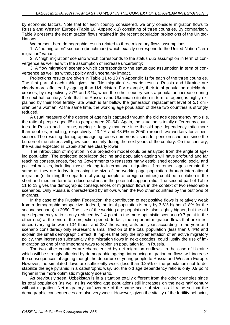by economic factors. Note that for each country considered, we only consider migration flows to Russia and Western Europe (Table 10, Appendix 1) consisting of three countries. By comparison, Table 9 presents the net migration flows retained in the recent population projections of the United-Nations.

We present here demographic results related to three migratory flows assumptions:

1. A "no migration" scenario (benchmark) which exactly correspond to the United-Nation "zero migration" variant;

2. A "high migration" scenario which corresponds to the status quo assumption in term of convergence as well as with the assumption of increase uncertainty;

3. A "low migration" scenario which corresponds to the status quo assumption in term of convergence as well as without policy and uncertainty impact.

Projections results are given in Table 11 to 13 (in Appendix 1) for each of the three countries. The first part of each table gives the "No migration" scenario results. Russia and Ukraine are clearly more affected by ageing than Uzbekistan. For example, their total population quickly decreases, by respectively *27%* and *31%*, when the other country sees a population increase during the next half century. Note that the Russian and Ukrainian situation in term of ageing is highly explained by their total fertility rate which is far bellow the generation replacement level of *2.1* children per a woman. At the same time, the working age population of these two countries is strongly reduced.

A usual measure of the degree of ageing is captured through the old age dependency ratio (i.e. the ratio of people aged 65+ to people aged 20–64). Again, the situation is totally different by countries. In Russia and Ukraine, ageing is largely marked since the old age dependency ratio more than doubles, reaching, respectively, 43.4% and 48.6% in 2050 (around two workers for a pensioner). The resulting demographic ageing raises numerous issues for pension schemes since the burden of the retirees will grow spectacularly during the next years of the century. On the contrary, the values expected in Uzbekistan are clearly lower.

The introduction of migration in our projection model could be analyzed from the angle of ageing population. The projected population decline and population ageing will have profound and far reaching consequences, forcing Governments to reassess many established economic, social and political policies, including those relating to international migration. If retirement ages remain the same as they are today, increasing the size of the working age population through international migration (or limiting the departure of young people to foreign countries) could be a solution in the short and medium term to reduce declines in the potential support ratio. The second part of Table 11 to 13 gives the demographic consequences of migration flows in the context of two reasonable scenarios. Only Russia is characterized by inflows when the two other countries by the outflows of migrants.

In the case of the Russian Federation, the contribution of net positive flows is relatively weak from a demographic perspective. Indeed, the total population is only by 3.6% higher (1.8% for the second scenario) in 2050. The size of the working age population is also slightly higher, but the old age dependency ratio is only reduced by 1.4 point in the more optimistic scenario (0.7 point in the other one) at the end of the projection period. In fact, the important migration flows that are introduced (varying between 134 thous. and 387 thous. migrants per year, according to the year and scenario considered) only represent a small fraction of the total population (less than 0.4%) and explain the small demographic effect. It implies that only the implementation of an active migratory policy, that increases substantially the migration flows in next decades, could justify the use of immigration as one of the important ways to replenish population fall in Russia.

The two other countries are characterized by net migration outflows. In the case of Ukraine which will be strongly affected by demographic ageing, introducing migration outflows will increase the consequences of ageing though the departure of young people to Russia and Western Europe. However, the simulated flows are sufficiently week (less than 0.25% of the population) not to destabilize the age pyramid in a catastrophic way. So, the old age dependency ratio is only 0.9 point higher in the more optimistic migratory scenario.

As previously seen, Uzbekistan is in a situation totally different from the other countries since its total population (as well as its working age population) still increases on the next half century without migration. Net migratory outflows are of the same scale of sizes as Ukraine so that the demographic consequences are also very week. However, given the vitality of the fertility behavior,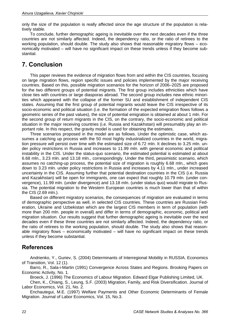only the size of the population is really affected since the age structure of the population is relatively stable.

To conclude, further demographic ageing is inevitable over the next decades even if the three countries are not similarly affected. Indeed, the dependency ratio, or the ratio of retirees to the working population, should double. The study also shows that reasonable migratory flows – economically motivated – will have no significant impact on these trends unless if they become substantial.

# **7. Conclusion**

This paper reviews the evidence of migration flows from and within the CIS countries, focusing on large migration flows, region specific issues and policies implemented by the major receiving countries. Based on this, possible migration scenarios for the horizon of 2006–2025 are proposed for the two different groups of potential migrants. The first group includes ethnicities which have close ties with countries or large diasporas abroad. The second group includes new ethnic minorities which appeared with the collapse of the former SU and establishment of independent CIS states. Assuming that the first group of potential migrants would leave the CIS irrespective of its socio-economic and political situation (i.e. the formation of the expected emigration flows follows a geometric series of the past values), the size of potential emigration is obtained at about 1 mln. For the second group of return migrants in the CIS, on the contrary, the socio-economic and political situation in the major receiving countries (i.e. Russia and Kazakhstan) will presumably play an important role. In this respect, the gravity model is used for obtaining the estimates.

Three scenarios proposed in the model are as follows. Under the optimistic case, which assumes a catching up process with the 50 most highly industrialized countries in the world, migration pressure will persist over time with the estimated size of 6.72 mln. It declines to 3.25 mln. under policy restrictions in Russia and increases to 11.99 mln. with general economic and political instability in the CIS. Under the status-quo scenario, the estimated potential is estimated at about 6.68 mln., 3.23 mln. and 13.18 mln., correspondingly. Under the third, pessimistic scenario, which assumes no catching-up process, the potential size of migration is roughly 6.68 mln., which goes down to 3.23 mln. under policy restrictions in Russia and increases by 4.11 mln., under increased uncertainty in the CIS. Assuming further that potential destination countries in the CIS (i.e. Russia and Kazakhstan) will be open for immigrants, one can expect that roughly 10.79 mln. (under convergence), 11.99 mln. (under divergence) and 13.18 mln. (under status quo) would migrate to Russia. The potential migration to the Western European countries is much lower than that of within the CIS (2.69 mln.).

Based on different migratory scenarios, the consequences of migration are evaluated in terms of demographic perspective as well, in selected CIS countries. These countries are Russian Federation, Ukraine and Uzbekistan which are the largest CIS members in term of population (with more than 200 mln. people in overall) and differ in terms of demographic, economic, political and migration situation. Our results suggest that further demographic ageing is inevitable over the next decades even if these three countries are not similarly affected. Indeed, the dependency ratio, or the ratio of retirees to the working population, should double. The study also shows that reasonable migratory flows – economically motivated – will have no significant impact on these trends unless if they become substantial.

## **References**

Andrienko, Y., Guriev, S. (2004) Determinants of Interregional Mobility in RUSSIA. Economics of Transition, Vol. 12 (1).

Barro, R., Sala-i-Martin (1991) Convergence Across States and Regions. Brooking Papers on Economic Activity, No. 1.

Broeck, J. (1996) The Economics of Labour Migration. Edward Elgar Publishing Limited, UK.

Chen, K., Chiang, S., Leung, S.F. (2003) Migration, Family, and Risk Diversification. Journal of Labor Economics, Vol. 21, No. 2.

Enchautegui, M.E. (1997) Welfare Payments and Other Economic Determinants of Female Migration. Journal of Labor Economics, Vol. 15, No.3.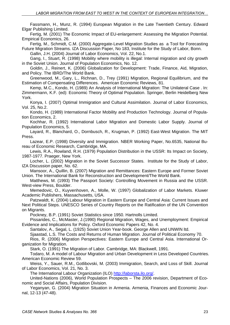Fassmann, H., Munz, R. (1994) European Migration in the Late Twentieth Century. Edward Elgar Publishing Limited.

Fertig, M. (2001) The Economic Impact of EU-enlargement: Assessing the Migration Potential. Empirical Economics, 26.

Fertig, M., Schmidt, C.M. (2000) Aggregate-Level Migration Studies as a Tool for Forecasting Future Migration Streams. IZA Discussion Paper, No 183, Institute for the Study of Labor, Bonn.

Gallin, J.H. (2004) Journal of Labor Economics, Vol. 22, No.1.

Gang, I., Stuart, R. (1998) Mobility where mobility is illegal: Internal migration and city growth in the Soviet Union. Journal of Population Economics, No. 12.

Goldin, J., Reinert, K. (2006) Globalization for Development: Trade, Finance, Aid, Migration, and Policy. The IBRD/The World Bank.

Greenwood, M., Gary, L., Richnan, D., Trey (1991) Migration, Regional Equilibrium, and the Estimation of Compensating Differences. American Economic Reviews, 81.

Kemp, M.C., Kondo, H. (1989) An Analysis of International Migration: The Unilateral Case . In: Zimmermann, K.F. (ed): Economic Theory of Optimal Population. Springer, Berlin Heidelberg New York.

Konya, I. (2007) Optimal Immigration and Cultural Assimilation. Journal of Labor Economics, Vol. 25, No.2.

Kondo, H. (1989) International Factor Mobility and Production Technology. Journal of Population Economics, 2.

Kochhar, R. (1992) International Labor Migration and Domestic Labor Supply. Journal of Population Economics, 5.

Layard, R., Blanchard, O., Dornbusch, R., Krugman, P. (1992) East-West Migration. The MIT Press.

Lazear, E.P. (1998) Diversity and Immigration. NBER Working Paper, No.6535, National Bureau of Economic Research, Cambridge, MA.

Lewis, R.A., Rowland, R.H. (1979) Population Distribution in the USSR: Its Impact on Society, 1987-1977. Praeger, New York.

Locher, L. (2002) Migration in the Soviet Successor States. Institute for the Study of Labor, IZA Discussion paper, No. 62.

Mansoor, A., Quillin, B. (2007) Migration and Remittances: Eastern Europe and Former Soviet Union. The International Bank for Reconstruction and Development/The World Bank.

Matthews, M. (1993) The Passport Society: Controlling Movement in Russia and the USSR. West-view Press, Boulder.

Memedovic, O., Kuyvenhoven, A., Molle, W. (1997) Globalization of Labor Markets. Kluwer Academic Publishers, Massachusetts, USA.

Patzwaldt, K. (2004) Labour Migration in Eastern Europe and Central Asia: Current Issues and Next Political Steps. UNESCO Series of Country Reports on the Ratification of the UN Convention on Migrants.

Pockney, B.P. (1991) Soviet Statistics since 1950. Hartnolls Limited.

Pissarides, C., McMaster, J.(1990) Regional Migration, Wages, and Unemployment: Empirical Evidence and Implications for Policy. Oxford Economic Papers 42, No. 4.

Santalov, A., Segal, L. (1925) Soviet Union Year-book. George Allen and UNWIN ltd.

Sjaastad, L.S. The Costs and Returns of Human Migration. Journal of Political Economy 70.

Rios, R. (2006) Migration Perspectives: Eastern Europe and Central Asia. International Organization for Migration.

Stark, O. (1991) The Migration of Labor. Cambridge, MA: Blackwell, 1991.

Todaro, M. A model of Labour Migration and Urban Development in Less Developed Countries. American Economic Review 59.

Weiss, Y., Sauer, R.M., Gotlibovski, M. (2003) Immigration, Search, and Loss of Skill. Journal of Labor Economics, Vol. 21, No. 3.

The International Labour Organization (ILO) http://laborsta.ilo.org/.

United-Nations (2006), World Population Prospects – The 2006 revision, Department of Economic and Social Affairs, Population Division.

Yeganyan, G. (2004) Migration Situation in Armenia. Armenia, Finances and Economic Journal, 12-13 (47-48).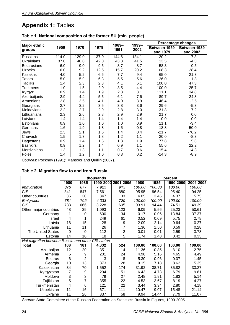# **Appendix 1:** Tables

|                     |       |       |       |       |       |              | Percentage changes |
|---------------------|-------|-------|-------|-------|-------|--------------|--------------------|
| <b>Major ethnic</b> | 1959  | 1970  | 1979  | 1989- | 1999- | Between 1959 | Between 1989       |
| groups              |       |       |       | 1991  | 2002  | and 1979     | and 2002           |
| <b>Russians</b>     | 114.0 | 129.0 | 137.0 | 144.6 | 134.1 | 20.2         | $-7.3$             |
| <b>Ukrainians</b>   | 37.0  | 40.0  | 42.0  | 43.3  | 41.5  | 13.5         | $-4.3$             |
| <b>Belarusians</b>  | 6.0   | 9.0   | 9.5   | 8.7   | 8.7   | 58.3         | $-0.5$             |
| <b>Uzbeks</b>       | 6.0   | 9.2   | 12.5  | 15.7  | 20.2  | 108.3        | 28.4               |
| Kazakhs             | 4.0   | 5.2   | 6.6   | 7.7   | 9.4   | 65.0         | 21.3               |
| Tatars              | 5.0   | 5.9   | 6.3   | 5.5   | 5.6   | 26.0         | 1.8                |
| <b>Tadjiks</b>      | 1.4   | 2.3   | 2.8   | 4.1   | 6.1   | 100.0        | 47.3               |
| <b>Turkmens</b>     | 1.0   | 1.5   | 2.0   | 3.5   | 4.4   | 100.0        | 25.7               |
| Kyrgyz              | 0.9   | 1.4   | 1.9   | 2.3   | 3.1   | 111.1        | 34.8               |
| Azerbaijanis        | 2.9   | 4.4   | 5.5   | 6.1   | 7.6   | 89.7         | 24.8               |
| Armenians           | 2.8   | 3.5   | 4.1   | 4.0   | 3.9   | 46.4         | $-2.5$             |
| Georgians           | 2.7   | 3.2   | 3.5   | 3.8   | 3.6   | 29.6         | $-5.3$             |
| Moldavians          | 2.2   | 2.7   | 2.9   | 2.8   | 3.0   | 31.8         | 7.2                |
| Lithuanians         | 2.3   | 2.6   | 2.8   | 2.9   | 2.9   | 21.7         | 0.0                |
| Latvians            | 1.4   | 1.4   | 1.4   | 1.4   | 1.4   | 0.0          | 0.0                |
| Estonians           | 0.9   | 1.0   | 1.0   | 1.0   | 0.9   | 11.1         | $-3.4$             |
| Germans             | 1.6   | 1.9   | 1.8   | 1.5   | 0.8   | 18.8         | $-50.0$            |
| Jews                | 2.3   | 2.1   | 1.6   | 1.4   | 0.4   | $-21.7$      | $-76.2$            |
| Chuvash             | 1.5   | 1.7   | 1.8   | 1.2   | 1.1   | 20.0         | $-8.3$             |
| Dagestans           | 0.9   | 1.4   | 1.6   | 1.8   | 1.9   | 77.8         | 5.6                |
| <b>Bashkirs</b>     | 0.9   | 1.2   | 1.4   | 0.9   | 1.1   | 55.6         | 22.2               |
| Mordvinians         | 1.3   | 1.3   | 1.1   | 0.7   | 0.6   | $-15.4$      | $-14.3$            |
| Poles               | 1.4   | 1.2   | 1.0   | 0.3   | 0.2   | $-14.3$      | $-8.9$             |

#### **Table 1. National composition of the former SU (mln. people)**

*Sources*: Pockney (1991); Mansoor and Quillin (2007).

### **Table 2. Migration flow to and from Russia**

|                                                   |                |                | thousands |                     | percent |        |           |           |
|---------------------------------------------------|----------------|----------------|-----------|---------------------|---------|--------|-----------|-----------|
|                                                   | 1980           | 1985           |           | 1990-2000 2001-2005 | 1980    | 1985   | 1990-2000 | 2001-2005 |
| <b>Immigration</b>                                | 876            | 877            | 7,925     | 913                 | 100.00  | 100.00 | 100.00    | 100.00    |
| <b>CIS</b>                                        | 841            | 847            | 7,561     | 880                 | 95.95   | 96.54  | 95.40     | 94.25     |
| Other countries                                   | 35             | 30             | 347       | 33                  | 4.05    | 3.46   | 4.37      | 5.75      |
| Emigration                                        | 781            | 705            | 4,333     | 729                 | 100.00  | 100.00 | 100.00    | 100.00    |
| <b>CIS</b>                                        | 733            | 666            | 3,228     | 605                 | 93.91   | 94.44  | 74.51     | 49.39     |
| Other major countries                             | 48             | 39             | 1,093     | 123                 | 6.09    | 5.56   | 25.23     | 50.61     |
| Germany                                           |                | 0              | 600       | 34                  | 0.17    | 0.06   | 13.84     | 37.37     |
| Israel                                            | 4              |                | 249       | 61                  | 0.52    | 0.09   | 5.75      | 2.78      |
| Latvia                                            | 16             | 15             | 28        | 9                   | 2.09    | 2.14   | 0.64      | 0.27      |
| Lithuania                                         | 11             | 11             | 26        | 7                   | 1.36    | 1.50   | 0.59      | 0.28      |
| <b>The United States</b>                          | 0              | $\overline{0}$ | 112       | $\overline{2}$      | 0.01    | 0.01   | 2.59      | 3.78      |
| Estonia                                           | 14             | 10             | 18        | 5                   | 1.74    | 1.48   | 0.42      | 0.33      |
| Net migration between Russia and other CIS states |                |                |           |                     |         |        |           |           |
| <b>Total</b>                                      | 108            | 181            | 4,332     | 524                 | 100.00  | 100.00 | 100.00    | 100.00    |
| Azerbaijan                                        | 12             | 20             | 351       | 14                  | 11.36   | 10.85  | 8.10      | 2.75      |
| Armenia                                           | 5              | 9              | 201       | 24                  | 4.98    | 5.16   | 4.65      | 4.49      |
| <b>Belarus</b>                                    | 6              | $\overline{2}$ | -3        | -8                  | 5.30    | 0.96   | $-0.07$   | $-1.45$   |
| Georgia                                           | 10             | 13             | 373       | 28                  | 9.15    | 7.18   | 8.62      | 5.35      |
| Kazakhstan                                        | 34             | 70             | 1,552     | 174                 | 31.92   | 38.71  | 35.82     | 33.27     |
| Kyrgyzstan                                        | $\overline{7}$ | 9              | 294       | 51                  | 6.43    | 4.73   | 6.79      | 9.81      |
| Moldova                                           | 3              | 3              | 79        | 27                  | 2.48    | 1.91   | 1.83      | 5.14      |
| Tajikistan                                        | 5              | 7              | 355       | 22                  | 4.53    | 3.67   | 8.19      | 4.27      |
| Turkmenistan                                      | 4              | 6              | 121       | 22                  | 3.44    | 3.34   | 2.80      | 4.18      |
| Uzbekistan                                        | 11             | 16             | 671       | 111                 | 10.47   | 9.07   | 15.48     | 21.14     |
| Ukraine                                           | 11             | 26             | 337       | 58                  | 9.94    | 14.44  | 7.79      | 11.07     |

*Source*: State Committee of the Russian Federation on Statistics: Russia in Figures, 1990-2005.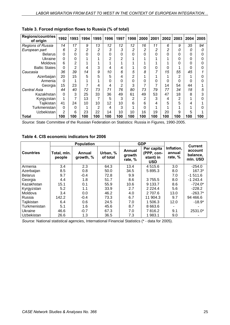| <b>Regions/countries</b><br>of origin | 1992           | 1993           | 1994 | 1995 | 1996     | 1997           | 1998 | 2000           | 2001 | 2002 | 2003           | 2004 | 2005 |
|---------------------------------------|----------------|----------------|------|------|----------|----------------|------|----------------|------|------|----------------|------|------|
| <b>Regions of Russia</b>              | 14             | 17             | 9    | 13   | 12       | 12             | 12   | 16             | 11   | 6    | 9              | 35   | 94   |
| European part                         | 6              | 2              | 2    | 2    | 3        | 3              | 2    | 2              | 2    | 2    | 0              | 0    | 0    |
| <b>Belarus</b>                        | 0              | 0              | 0    | 0    | $\Omega$ | 0              | 0    | 0              | 0    | 0    | 0              | 0    |      |
| Ukraine                               | 0              | 0              | 4    |      | 2        | $\overline{2}$ |      |                |      |      | 0              | 0    |      |
| Moldova                               | 6              | $\overline{2}$ | 1    |      |          |                |      |                |      |      | 0              | 0    |      |
| <b>Baltic States</b>                  | $\Omega$       | 2              | 4    | 3    | 4        | 4              |      | 0              | 0    | 0    |                | 0    |      |
| Caucasia                              | 36             | 39             | 14   | 9    | 10       | 6              | 5    | 8              | 7    | 15   | 55             | 45   |      |
| Azerbaijan                            | 20             | 15             | 5    | 5    | 5        | 4              | 2    |                |      |      | 2              |      |      |
| Armenia                               | 0              |                |      |      | 0        | 0              | 0    | 0              | 0    | 0    | 0              | 0    |      |
| Georgia                               | 15             | 23             | 7    | 4    | 4        | 2              | 3    |                | 7    | 14   | 54             | 44   |      |
| Central Asia                          | 44             | 40             | 72   | 73   | 71       | 76             | 80   | 73             | 79   | 77   | 34             | 18   | 5    |
| Kazakhstan                            | $\Omega$       | 3              | 25   | 33   | 36       | 49             | 61   | 49             | 53   | 47   | 18             | 8    | 3    |
| Kyrgyzstan                            |                | 7              | 13   |      | 5        | 3              | 2    | $\overline{2}$ | 3    | 4    | $\overline{2}$ |      |      |
| Tajikistan                            | 41             | 24             | 10   | 10   | 12       | 10             | 6    | 6              | 4    | 5    | 5              | 4    |      |
| Turkmenistan                          | $\Omega$       | 0              | 4    | 2    | 4        | 3              |      | 0              |      |      |                |      |      |
| <b>Uzbekistan</b>                     | $\overline{2}$ | 6              | 23   | 22   | 14       | 10             | 10   | 16             | 19   | 20   | 9              | 5    |      |
| <b>Total</b>                          | 100            | 100            | 100  | 100  | 100      | 100            | 100  | 100            | 100  | 100  | 100            | 100  | 100  |

## **Table 3. Forced migration flows to Russia (% of total)**

*Source*: State Committee of the Russian Federation on Statistics: Russia in Figures, 1990-2005.

**Table 4. CIS economic indicators for 2006** 

|                  |                       | <b>Population</b>   |                      |                             | <b>GDP</b>                                          |                                 | <b>Current</b>                  |  |
|------------------|-----------------------|---------------------|----------------------|-----------------------------|-----------------------------------------------------|---------------------------------|---------------------------------|--|
| <b>Countries</b> | Total, mln.<br>people | Annual<br>growth, % | Urban, %<br>of total | Annual<br>growth<br>rate, % | Per capita<br>(PPP, con-<br>stant) in<br><b>USD</b> | Inflation,<br>annual<br>rate, % | account<br>balance,<br>mln. USD |  |
| Armenia          | 3.4                   | 2.3                 | 64.3                 | 13.4                        | 4 5 1 5 . 6                                         | 3.0                             | $-254.0$                        |  |
| Azerbaijan       | 8.5                   | 0.8                 | 50.0                 | 34.5                        | 5 895.3                                             | 8.0                             | $167.3*$                        |  |
| <b>Belarus</b>   | 9.7                   | $-0.4$              | 72.8                 | 9.9                         |                                                     | 7.0                             | $-1511.6$                       |  |
| Georgia          | 4.4                   | 1.8                 | 51.7                 | 8.6                         | 3 7 5 5.5                                           | 8.0                             | $-1243.4$                       |  |
| Kazakhstan       | 15.1                  | 0.1                 | 55.9                 | 10.6                        | 9 133.7                                             | 8.6                             | $-724.0*$                       |  |
| Kyrgyzstan       | 5.2                   | 1.1                 | 33.9                 | 2.7                         | 2 2 2 4 .4                                          | 5.6                             | $-228.2$                        |  |
| Moldova          | 3.4                   | 0.0                 | 46.2                 | 4.0                         | 2 707.6                                             | 13.0                            | $-263.7*$                       |  |
| Russia           | 142.2                 | $-0.4$              | 73.3                 | 6.7                         | 11 904.3                                            | 9.7                             | 94 4 66.6                       |  |
| Tajikistan       | 6.4                   | 0.6                 | 24.5                 | 7.0                         | 1 506.3                                             | 12.0                            | $-18.9*$                        |  |
| Turkmenistan     | 5.1                   | 1.6                 | 45.6                 | 8.7                         | 8 6 6 3 . 6                                         |                                 |                                 |  |
| Ukraine          | 46.6                  | $-0.7$              | 67.3                 | 7.0                         | 7816.2                                              | 9.1                             | 2531.0*                         |  |
| Uzbekistan       | 26.6                  | 1.3                 | 36.5                 | 7.3                         | 1983.1                                              | 9.0                             |                                 |  |

*Source*: National statistical agencies, International Financial Statistics (\* - data for 2005).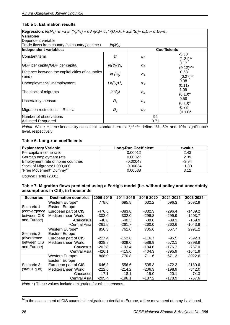### **Table 5. Estimation results**

| <b>Regression</b> : $ln(M_{ii}t) = a_1 + a_2 ln(Y_{ii}Y_{ii}) + a_3 ln(K_{ii}) + a_4 ln(U_{ii}U_{ii}) + a_5 ln(S_{ii}) + a_6 D_1 + a_7 D_2 + e_{ii}$ |                     |                       |                        |
|------------------------------------------------------------------------------------------------------------------------------------------------------|---------------------|-----------------------|------------------------|
| <b>Variables</b>                                                                                                                                     |                     |                       |                        |
| Dependent variable                                                                                                                                   |                     |                       |                        |
| Trade flows from country $i$ to country $j$ at time $t$                                                                                              | $ln(M_{ii}t)$       |                       |                        |
| Independent variables:                                                                                                                               |                     |                       | <b>Coefficients</b>    |
| <b>Constant term</b>                                                                                                                                 | C                   | $\alpha_1$            | $-3.30$<br>$(1.21)$ ** |
| GDP per capita/GDP per capita,                                                                                                                       | $In(Y_{it}/Y_{it})$ | $\alpha_2$            | 0.17<br>$(0.12)$ ***   |
| Distance between the capital cities of countries<br>$i$ and $_i$                                                                                     | In $(K_{ii})$       | $\alpha_3$            | $-0.53$<br>$(0.27)$ ** |
| Unemployment/Unemployment                                                                                                                            | $Ln(U_i/U_i)$       | $\alpha$ <sub>4</sub> | 0.08<br>(0.11)         |
| The stock of migrants                                                                                                                                | $ln(S_{it})$        | $\alpha_5$            | 1.09<br>$(0.10)^*$     |
| Uncertainty measure                                                                                                                                  | $D_1$               | $\alpha_6$            | 0.58<br>$(0.13)^*$     |
| Migration restrictions in Russia                                                                                                                     | $D_2$               | $\alpha$ <sub>7</sub> | -0.73<br>$(0.11)^*$    |
| Number of observations                                                                                                                               |                     | 99                    |                        |
| Adjusted R-squared                                                                                                                                   |                     | 0.71                  |                        |

*Notes*. White Heteroskedasticity-consistent standard errors: \*,\*\*,\*\*\* define 1%, 5% and 10% significance level, respectively.

#### **Table 6. Long-run coefficients**

| <b>Explanatory Variable</b>         | <b>Long-Run Coefficient</b> | t-value |
|-------------------------------------|-----------------------------|---------|
| Per capita income ratio             | 0.00012                     | 2.43    |
| German employment rate              | 0.00027                     | 2.39    |
| Employment rate of home countries   | $-0.00049$                  | $-3.94$ |
| Stock of Migrants*1,000,000         | $-0.00034$                  | $-1.80$ |
| "Free Movement" Dummy <sup>24</sup> | 0.00038                     | 3.12    |

*Source*: Fertig (2001).

#### **Table 7. Migration flows predicted using a Fertig's model (i.e. without policy and uncertainty assumptions in CIS), in thousands**

| <b>Scenarios</b> | <b>Destination countries</b> | 2006-2010 | 2011-2015 | 2016-2020 | 2021-2025 | 2006-2025 |
|------------------|------------------------------|-----------|-----------|-----------|-----------|-----------|
|                  | Western Europe*              | 778.6     | 685.8     | 632.2     | 596.3     | 2692.9    |
| Scenario 1       | Eastern Europe               |           |           |           |           |           |
| convergence      | European part of CIS         | -476.6    | $-383.8$  | $-332.3$  | $-296.4$  | $-1489.2$ |
| between CIS      | Mediterranean World          | $-302.0$  | $-302.0$  | $-299.8$  | $-299.9$  | $-1203.7$ |
| and Europe)      | -Caucasus                    | $-40.6$   | $-40.3$   | $-39.8$   | $-39.3$   | $-159.9$  |
|                  | -Central Asia                | $-261.5$  | $-261.7$  | $-260.0$  | $-260.6$  | $-1043.8$ |
|                  | Western Europe*              | 856.3     | 761.6     | 705.6     | 667.7     | 2991.2    |
| Scenario 2       | Eastern Europe               |           |           |           |           |           |
| divergence       | European part of CIS         | $-227.4$  | $-152.6$  | $-116.7$  | $-95.5$   | $-592.3$  |
| between CIS      | Mediterranean World          | $-628.8$  | $-609.0$  | $-588.9$  | $-572.1$  | $-2398.9$ |
| and Europe)      | Caucasus                     | $-202.8$  | $-193.4$  | $-184.6$  | $-176.2$  | $-757.0$  |
|                  | Central Asia                 | $-426.1$  | $-415.6$  | $-404.3$  | $-395.9$  | $-1641.9$ |
|                  | Western Europe*              | 868.9     | 770.8     | 711.6     | 671.3     | 3022.6    |
|                  | Eastern Europe               |           |           |           |           |           |
| Scenario 3       | European part of CIS         | $-646.3$  | $-556.6$  | $-505.3$  | $-472.3$  | $-2180.6$ |
| (status quo)     | Mediterranean World          | $-222.6$  | $-214.2$  | $-206.3$  | $-198.9$  | $-842.0$  |
|                  | Caucasus                     | $-17.1$   | $-18.1$   | $-19.0$   | $-20.1$   | $-74.3$   |
|                  | Central Asia                 | $-205.4$  | $-196.1$  | $-187.2$  | $-178.9$  | -767.6    |

*Note*. \*) These values include emigration for ethnic reasons.

 $\overline{a}$ <sup>24</sup>In the assessment of CIS countries' emigration potential to Europe, a free movement dummy is skipped.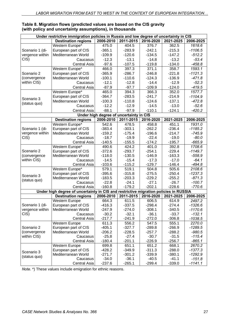|                            | Under restrictive immigration policies in Russia and low degree of uncertainty in CIS |                     |                                         |                      |                      |                       |  |  |  |
|----------------------------|---------------------------------------------------------------------------------------|---------------------|-----------------------------------------|----------------------|----------------------|-----------------------|--|--|--|
|                            | <b>Destination regions</b>                                                            | 2006-2010           | 2011-2015                               | 2016-2020            | 2021-2025            | 2006-2025             |  |  |  |
|                            | Western Europe*                                                                       | 475.0               | 404.5                                   | 376.7                | 362.5                | 1618.6                |  |  |  |
| Scenario 1 (di-            | European part of CIS                                                                  | $-365.1$            | $-283.9$                                | $-242.1$             | $-215.3$             | $-1106.5$             |  |  |  |
| vergence within            | Mediterranean World                                                                   | $-109.9$            | $-120.6$                                | $-134.5$             | $-147.2$             | $-512.2$              |  |  |  |
| CIS)                       | Caucasus                                                                              | $-12.3$             | $-13.1$                                 | $-14.8$              | $-13.2$              | $-53.4$               |  |  |  |
|                            | Central Asia                                                                          | $-97.6$             | $-107.5$                                | $-119.8$             | $-134.0$             | $-458.8$              |  |  |  |
|                            | Western Europe*                                                                       | 466.0               | 397.3                                   | 371.1                | 358.7                | 1593.1                |  |  |  |
| Scenario 2                 | European part of CIS                                                                  | $-365.9$            | $-286.7$                                | $-246.8$             | $-221.8$             | $-1121.3$             |  |  |  |
| (convergence               | Mediterranean World                                                                   | $-100.1$            | $-110.6$                                | $-124.3$             | $-136.9$             | $-471.8$              |  |  |  |
| within CIS)                | Caucasus                                                                              | $-12.1$             | $-12.8$                                 | $-14.4$              | $-12.9$              | $-52.3$               |  |  |  |
|                            | <b>Central Asia</b>                                                                   | $-87.9$             | $-97.7$                                 | $-109.9$             | $-124.0$             | $-419.5$              |  |  |  |
|                            | Western Europe*                                                                       | 465.0               | 394.3                                   | 366.3                | 352.0                | 1577.7                |  |  |  |
|                            | European part of CIS                                                                  | $-364.7$            | $-283.5$                                | $-241.7$             | $-214.9$             | $-1104.9$             |  |  |  |
| Scenario 3<br>(status quo) | Mediterranean World                                                                   | $-100.3$            | $-110.8$                                | $-124.6$             | $-137.1$             | $-472.8$              |  |  |  |
|                            | Caucasus                                                                              | $-12.2$             | $-12.9$                                 | $-14.5$              | $-13.0$              | $-52.6$               |  |  |  |
|                            | Central Asia                                                                          | $-88.1$             | $-97.9$                                 | $-110.1$             | $-124.1$             | $-420.2$              |  |  |  |
|                            |                                                                                       |                     | Under high degree of uncertainty in CIS |                      |                      |                       |  |  |  |
|                            | <b>Destination regions</b>                                                            | 2006-2010           | 2011-2015                               | 2016-2020            | 2021-2025            | 2006-2025             |  |  |  |
|                            | Western Europe*                                                                       | 542.6               | 478.5                                   | 458.8                | 451.1                | 1931.0                |  |  |  |
| Scenario 1 (di-            | European part of CIS                                                                  | $-383.4$            | $-303.1$                                | $-262.2$             | $-236.4$             | $-1185.2$             |  |  |  |
| vergence within            | Mediterranean World                                                                   | $-159.2$            | $-175.4$                                | $-196.6$             | $-214.7$             | $-745.9$              |  |  |  |
| CIS)                       | Caucasus                                                                              | $-18.7$             | $-19.9$                                 | $-22.4$              | $-19.0$              | $-80.0$               |  |  |  |
|                            | <b>Central Asia</b>                                                                   | $-140.5$            | $-155.5$                                | $-174.2$             | $-195.7$             | $-665.9$              |  |  |  |
|                            | Western Europe*                                                                       | 490.6               | 424.2                                   | 401.0                | 392.8                | 1708.6                |  |  |  |
| Scenario 2                 | European part of CIS                                                                  | $-372.6$            | $-293.7$                                | $-254.1$             | $-229.4$             | $-1149.7$             |  |  |  |
| (convergence               | Mediterranean World                                                                   | $-118.0$            | $-130.5$                                | $-146.9$             | $-163.3$             | $-558.9$              |  |  |  |
| within CIS)                | Caucasus                                                                              | $-14.5$             | $-15.4$                                 | $-17.3$              | $-17.0$              | $-64.1$               |  |  |  |
|                            | Central Asia                                                                          | $-103.6$            | $-115.2$                                | $-129.7$             | $-146.4$             | $-494.8$              |  |  |  |
|                            | Western Europe*                                                                       | 579.1               | 519.1                                   | 504.8                | 505.6                | 2108.6                |  |  |  |
| Scenario 3                 | European part of CIS<br>Mediterranean World                                           | $-395.6$            | $-315.8$                                | $-275.5$<br>$-229.2$ | $-250.4$<br>$-255.2$ | $-1237.3$<br>$-871.3$ |  |  |  |
| (status quo)               | Caucasus                                                                              | $-183.5$<br>$-22.8$ | $-203.3$<br>$-24.1$                     | $-27.1$              | $-26.7$              | $-100.7$              |  |  |  |
|                            | Central Asia                                                                          | $-160.8$            | $-179.2$                                | $-202.1$             | $-228.6$             | $-770.6$              |  |  |  |
|                            | Under high degree of uncertainty in CIS and restrictive migration policies in RUSSIA  |                     |                                         |                      |                      |                       |  |  |  |
|                            | <b>Destination regions</b>                                                            | 2006-2010           | 2011-2015                               | 2016-2020            | 2021-2025            | 2006-2025             |  |  |  |
|                            | <b>Western Europe</b>                                                                 | 664.3               | 611.5                                   | 606.5                | 614.9                | 2497.2                |  |  |  |
| Scenario 1 (di-            | European part of CIS                                                                  | $-416.3$            | $-337.5$                                | $-298.4$             | $-274.4$             | $-1326.6$             |  |  |  |
| vergence within            | Mediterranean World                                                                   | -247.9              | $-274.0$                                | $-308.1$             | $-340.5$             | $-1170.6$             |  |  |  |
| CIS)                       | Caucasus                                                                              | $-30.2$             | $-32.1$                                 | $-36.1$              | $-33.7$              | $-132.1$              |  |  |  |
|                            | <b>Central Asia</b>                                                                   | $-217.7$            | $-241.9$                                | $-272.0$             | $-306.8$             | $-1038.5$             |  |  |  |
|                            | Western Europe                                                                        | 611.3               | 556.2                                   | 547.5                | 555.1                | 2270.0                |  |  |  |
| Scenario 2                 | European part of CIS                                                                  | $-405.1$            | $-327.7$                                | $-289.8$             | $-266.9$             | $-1289.5$             |  |  |  |
| (convergence               | Mediterranean World                                                                   | $-206.2$            | $-228.5$                                | $-257.7$             | $-288.2$             | $-980.5$              |  |  |  |
| within CIS)                | Caucasus                                                                              | $-25.8$             | $-27.4$                                 | $-30.7$              | $-31.5$              | $-115.4$              |  |  |  |
|                            | Central Asia                                                                          | $-180.4$            | $-201.1$                                | $-226.9$             | $-256.7$             | $-865.1$              |  |  |  |
|                            | Western Europe                                                                        | 699.8               | 651.1                                   | 651.2                | 668.1                | 2670.2                |  |  |  |
| Scenario 3                 | European part of CIS                                                                  | $-428.2$            | $-349.9$                                | $-311.3$             | $-288.0$             | $-1377.3$             |  |  |  |
| (status quo)               | Mediterranean World                                                                   | $-271.7$            | $-301.2$                                | $-339.9$             | $-380.1$             | $-1292.9$             |  |  |  |
|                            | Caucasus                                                                              | $-34.0$             | $-36.1$                                 | $-40.5$              | $-41.1$              | $-151.8$              |  |  |  |
|                            | Central Asia                                                                          | $-237.6$            | $-265.1$                                | $-299.4$             | $-339.0$             | $-1141.1$             |  |  |  |

#### **Table 8. Migration flows (predicted values are based on the CIS gravity (with policy and uncertainty assumptions), in thousands**

*Note*. \*) These values include emigration for ethnic reasons.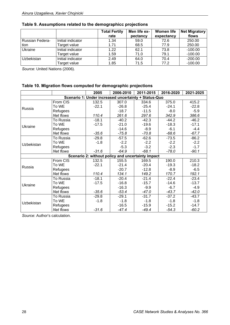|                 |                   | <b>Total Fertily</b><br>rate | Men life ex-<br>pectancy | <b>Women life</b><br>expectancy | <b>Net Migratory</b><br>flows |
|-----------------|-------------------|------------------------------|--------------------------|---------------------------------|-------------------------------|
| Russian Federa- | Initial indicator | 1.34                         | 59.0                     | 72.6                            | 250.00                        |
| tion            | Target value      | 1.71                         | 68.5                     | 77.9                            | 250.00                        |
| Ukraine         | Initial indicator | 1.22                         | 62.1                     | 73.8                            | $-100.00$                     |
|                 | Target value      | 1.59                         | 71.0                     | 79.1                            | $-100.00$                     |
| Uzbekistan      | Initial indicator | 2.49                         | 64.0                     | 70.4                            | $-200.00$                     |
|                 | Target value      | 1.85                         | 71.5                     | 77.2                            | $-100.00$                     |

## **Table 9. Assumptions related to the demographicс projections**

*Source*: United Nations (2006).

## **Table 10. Migration flows computed for demographic projections**

|            |           | 2005    | 2006-2010                                            | 2011-2015 | 2016-2020 | 2021-2025 |
|------------|-----------|---------|------------------------------------------------------|-----------|-----------|-----------|
|            |           |         | Scenario 1: Under increased uncertainty + Status-Quo |           |           |           |
|            | From CIS  | 132.5   | 307.0                                                | 334.6     | 375.0     | 415.2     |
|            | To WE     | $-22.1$ | $-26.8$                                              | $-25.4$   | $-24.1$   | $-22.8$   |
| Russia     | Refugees  |         | $-18.7$                                              | $-11.5$   | $-8.0$    | $-5.9$    |
|            | Net flows | 110.4   | 261.6                                                | 297.6     | 342.9     | 386.6     |
|            | To Russia | $-18.1$ | $-40.2$                                              | $-42.3$   | $-44.2$   | $-46.2$   |
| Ukraine    | To WE     | $-17.5$ | $-21.0$                                              | $-19.6$   | $-18.3$   | $-17.1$   |
|            | Refugees  |         | $-14.6$                                              | $-8.9$    | $-6.1$    | $-4.4$    |
|            | Net flows | $-35.6$ | $-75.8$                                              | $-70.8$   | $-68.6$   | $-67.7$   |
|            | To Russia | $-29.8$ | $-57.5$                                              | $-62.6$   | $-73.5$   | $-86.2$   |
| Uzbekistan | To WE     | $-1.8$  | $-2.2$                                               | $-2.2$    | $-2.2$    | $-2.2$    |
|            | Refugees  |         | $-5.3$                                               | $-3.2$    | $-2.3$    | $-1.7$    |
|            | Net flows | $-31.6$ | $-64.9$                                              | $-68.1$   | $-78.0$   | $-90.1$   |
|            |           |         | Scenario 2: without policy and uncertainty impact    |           |           |           |
|            | From CIS  | 132.5   | 155.5                                                | 169.5     | 190.0     | 210.3     |
| Russia     | To WE     | $-22.1$ | $-21.4$                                              | $-20.4$   | $-19.3$   | $-18.2$   |
|            | Refugees  |         | $-20.7$                                              | $-12.8$   | $-8.9$    | $-6.5$    |
|            | Net flows | 110.4   | 134.1                                                | 149.2     | 170.7     | 192.1     |
|            | To Russia | $-18.1$ | $-20.4$                                              | $-21.4$   | $-22.4$   | $-23.4$   |
| Ukraine    | To WE     | $-17.5$ | $-16.8$                                              | $-15.7$   | $-14.6$   | $-13.7$   |
|            | Refugees  |         | $-16.3$                                              | $-9.9$    | $-6.7$    | $-4.9$    |
|            | Net flows | $-35.6$ | $-53.4$                                              | $-47.0$   | $-43.7$   | $-42.0$   |
|            | To Russia | $-29.8$ | $-29.1$                                              | $-31.7$   | $-37.2$   | $-43.7$   |
| Uzbekistan | To WE     | $-1.8$  | $-1.8$                                               | $-1.8$    | $-1.8$    | $-1.8$    |
|            | Refugees  |         | $-16.5$                                              | $-15.9$   | $-15.2$   | $-14.7$   |
|            | Net flows | $-31.6$ | $-47.4$                                              | $-49.4$   | $-54.3$   | $-60.2$   |

*Source*: Author's calculation.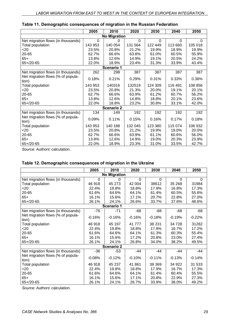|                                            | 2005    | 2010                | 2020           | 2030    | 2040     | 2050     |
|--------------------------------------------|---------|---------------------|----------------|---------|----------|----------|
|                                            |         | <b>No Migration</b> |                |         |          |          |
| Net migration flows (in thousands)         | 0       | 0                   | $\overline{0}$ | 0       | $\Omega$ | $\Omega$ |
| Total population                           | 143 953 | 140 054             | 131 564        | 122 449 | 113 660  | 105 018  |
| <20                                        | 23.5%   | 20.8%               | 21.2%          | 19.9%   | 18.9%    | 19.9%    |
| 20-65                                      | 62.7%   | 66.6%               | 63.8%          | 61.0%   | 60.5%    | 55.9%    |
| $65+$                                      | 13.8%   | 12.6%               | 14.9%          | 19.1%   | 20.5%    | 24.2%    |
| $65 + 20 - 65$                             | 22.0%   | 18.9%               | 23.4%          | 31.3%   | 33.9%    | 43.4%    |
|                                            |         | Scenario 1          |                |         |          |          |
| Net migration flows (in thousands)         | 262     | 298                 | 387            | 387     | 387      | 387      |
| Net migration flows (% of popula-<br>tion) | 0.18%   | 0.21%               | 0.29%          | 0.31%   | 0.33%    | 0.36%    |
| Total population                           | 143 953 | 140316              | 132519         | 124 309 | 116 491  | 108 856  |
| <20                                        | 23.5%   | 20.8%               | 21.3%          | 20.0%   | 19.1%    | 20.1%    |
| 20-65                                      | 62.7%   | 66.6%               | 63.9%          | 61.2%   | 60.7%    | 56.2%    |
| $65+$                                      | 13.8%   | 12.6%               | 14.8%          | 18.8%   | 20.1%    | 23.6%    |
| $65 + 20 - 65$                             | 22.0%   | 18.8%               | 23.2%          | 30.8%   | 33.1%    | 42.0%    |
|                                            |         | <b>Scenario 2</b>   |                |         |          |          |
| Net migration flows (in thousands)         | 134     | 149                 | 192            | 192     | 192      | 192      |
| Net migration flows (% of popula-<br>tion) | 0.09%   | 0.11%               | 0.15%          | 0.16%   | 0.17%    | 0.18%    |
| Total population                           | 143 953 | 140 188             | 132 045        | 123 380 | 115 074  | 106 932  |
| $20$                                       | 23.5%   | 20.8%               | 21.2%          | 19.9%   | 19.0%    | 20.0%    |
| 20-65                                      | 62.7%   | 66.6%               | 63.9%          | 61.1%   | 60.6%    | 56.0%    |
| $65+$                                      | 13.8%   | 12.6%               | 14.9%          | 19.0%   | 20.3%    | 23.9%    |
| $65 + 20 - 65$                             | 22.0%   | 18.9%               | 23.3%          | 31.0%   | 33.5%    | 42.7%    |

## **Table 11. Demographic consequences of migration in the Russian Federation**

*Source*: Authors' calculation.

## **Table 12. Demographic consequences of migration in the Ukraine**

|                                            | 2005     | 2010     | 2020     | 2030     | 2040     | 2050     |  |  |  |  |  |
|--------------------------------------------|----------|----------|----------|----------|----------|----------|--|--|--|--|--|
| <b>No Migration</b>                        |          |          |          |          |          |          |  |  |  |  |  |
| Net migration flows (in thousands)         | $\Omega$ | 0        | $\Omega$ | 0        | $\Omega$ | $\Omega$ |  |  |  |  |  |
| Total population                           | 46 918   | 45 273   | 42 004   | 38612    | 35 268   | 31984    |  |  |  |  |  |
| <20                                        | 22.4%    | 19.8%    | 18.8%    | 17.9%    | 16.8%    | 17.3%    |  |  |  |  |  |
| 20-65                                      | 61.6%    | 64.6%    | 64.1%    | 61.4%    | 60.5%    | 55.6%    |  |  |  |  |  |
| $65+$                                      | 16.1%    | 15.6%    | 17.1%    | 20.7%    | 22.8%    | 27.0%    |  |  |  |  |  |
| $65 + 20 - 65$                             | 26.1%    | 24.1%    | 26.6%    | 33.7%    | 37.6%    | 48.6%    |  |  |  |  |  |
| Scenario 1                                 |          |          |          |          |          |          |  |  |  |  |  |
| Net migration flows (in thousands)         | $-76$    | $-71$    | $-68$    | $-68$    | $-68$    | $-68$    |  |  |  |  |  |
| Net migration flows (% of popula-<br>tion) | $-0.16%$ | $-0.16%$ | $-0.16%$ | $-0.18%$ | $-0.19%$ | $-0.22%$ |  |  |  |  |  |
| Total population                           | 46 918   | 45 197   | 41777    | 38 231   | 34 728   | 31282    |  |  |  |  |  |
| $<$ 20                                     | 22.4%    | 19.8%    | 18.8%    | 17.8%    | 16.7%    | 17.2%    |  |  |  |  |  |
| 20-65                                      | 61.6%    | 64.6%    | 64.1%    | 61.3%    | 60.3%    | 55.4%    |  |  |  |  |  |
| $65+$                                      | 16.1%    | 15.6%    | 17.2%    | 20.8%    | 23.0%    | 27.4%    |  |  |  |  |  |
| $65 + 20 - 65$                             | 26.1%    | 24.1%    | 26.8%    | 34.0%    | 38.2%    | 49.5%    |  |  |  |  |  |
| <b>Scenario 2</b>                          |          |          |          |          |          |          |  |  |  |  |  |
| Net migration flows (in thousands)         | $-36$    | -53      | $-44$    | $-44$    | $-44$    | $-44$    |  |  |  |  |  |
| Net migration flows (% of popula-<br>tion) | $-0.08%$ | $-0.12%$ | $-0.10%$ | $-0.11%$ | $-0.13%$ | $-0.14%$ |  |  |  |  |  |
| Total population                           | 46 918   | 45 237   | 41 861   | 38 369   | 34 922   | 31 533   |  |  |  |  |  |
| $20$                                       | 22.4%    | 19.8%    | 18.8%    | 17.9%    | 16.7%    | 17.3%    |  |  |  |  |  |
| 20-65                                      | 61.6%    | 64.6%    | 64.1%    | 61.4%    | 60.4%    | 55.5%    |  |  |  |  |  |
| $65+$                                      | 16.1%    | 15.6%    | 17.1%    | 20.8%    | 22.9%    | 27.3%    |  |  |  |  |  |
| $65+/20-65$                                | 26.1%    | 24.1%    | 26.7%    | 33.9%    | 38.0%    | 49.2%    |  |  |  |  |  |

*Source*: Authors' calculation.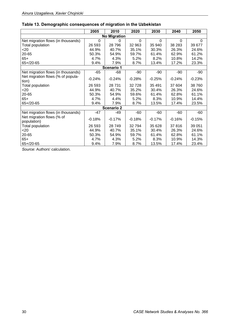|                                            | 2005     | 2010     | 2020     | 2030     | 2040     | 2050     |  |  |  |  |  |
|--------------------------------------------|----------|----------|----------|----------|----------|----------|--|--|--|--|--|
| <b>No Migration</b>                        |          |          |          |          |          |          |  |  |  |  |  |
| Net migration flows (in thousands)         | $\Omega$ | 0        | 0        | $\Omega$ | 0        | $\Omega$ |  |  |  |  |  |
| Total population                           | 26 593   | 28796    | 32 963   | 35 940   | 38 283   | 39 677   |  |  |  |  |  |
| <20                                        | 44.9%    | 40.7%    | 35.1%    | 30.3%    | 26.3%    | 24.6%    |  |  |  |  |  |
| 20-65                                      | 50.3%    | 54.9%    | 59.7%    | 61.4%    | 62.9%    | 61.2%    |  |  |  |  |  |
| $65+$                                      | 4.7%     | 4.3%     | 5.2%     | 8.2%     | 10.8%    | 14.2%    |  |  |  |  |  |
| $65 + 20 - 65$                             | 9.4%     | 7.9%     | 8.7%     | 13.4%    | 17.2%    | 23.3%    |  |  |  |  |  |
| Scenario 1                                 |          |          |          |          |          |          |  |  |  |  |  |
| Net migration flows (in thousands)         | $-65$    | $-68$    | $-90$    | $-90$    | $-90$    | $-90$    |  |  |  |  |  |
| Net migration flows (% of popula-<br>tion) | $-0.24%$ | $-0.24%$ | $-0.28%$ | $-0.25%$ | $-0.24%$ | $-0.23%$ |  |  |  |  |  |
| Total population                           | 26 593   | 28 731   | 32 7 28  | 35 4 91  | 37 604   | 38 760   |  |  |  |  |  |
| 20                                         | 44.9%    | 40.7%    | 35.2%    | 30.4%    | 26.3%    | 24.6%    |  |  |  |  |  |
| 20-65                                      | 50.3%    | 54.9%    | 59.6%    | 61.4%    | 62.8%    | 61.1%    |  |  |  |  |  |
| $65+$                                      | 4.7%     | 4.4%     | 5.2%     | 8.3%     | 10.9%    | 14.4%    |  |  |  |  |  |
| $65 + 20 - 65$                             | 9.4%     | 7.9%     | 8.7%     | 13.5%    | 17.4%    | 23.5%    |  |  |  |  |  |
| <b>Scenario 2</b>                          |          |          |          |          |          |          |  |  |  |  |  |
| Net migration flows (in thousands)         | $-47$    | -49      | $-60$    | -60      | $-60$    | -60      |  |  |  |  |  |
| Net migration flows (% of<br>population)   | $-0.18%$ | $-0.17%$ | $-0.18%$ | $-0.17%$ | $-0.16%$ | $-0.15%$ |  |  |  |  |  |
| Total population                           | 26 593   | 28749    | 32794    | 35 628   | 37816    | 39 051   |  |  |  |  |  |
| $<$ 20                                     | 44.9%    | 40.7%    | 35.1%    | 30.4%    | 26.3%    | 24.6%    |  |  |  |  |  |
| 20-65                                      | 50.3%    | 54.9%    | 59.7%    | 61.4%    | 62.8%    | 61.1%    |  |  |  |  |  |
| $65+$                                      | 4.7%     | 4.3%     | 5.2%     | 8.3%     | 10.9%    | 14.3%    |  |  |  |  |  |
| $65 + 20 - 65$                             | 9.4%     | 7.9%     | 8.7%     | 13.5%    | 17.4%    | 23.4%    |  |  |  |  |  |

## **Table 13. Demographic consequences of migration in the Uzbekistan**

*Source*: Authors' calculation.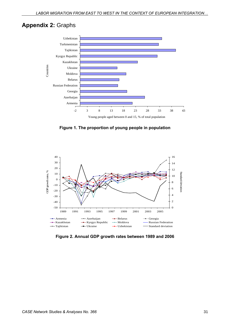## **Appendix 2:** Graphs



**Figure 1. The proportion of young people in population** 



**Figure 2. Annual GDP growth rates between 1989 and 2006**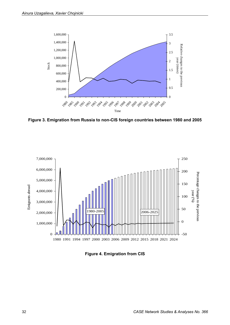

**Figure 3. Emigration from Russia to non-CIS foreign countries between 1980 and 2005** 



**Figure 4. Emigration from CIS**